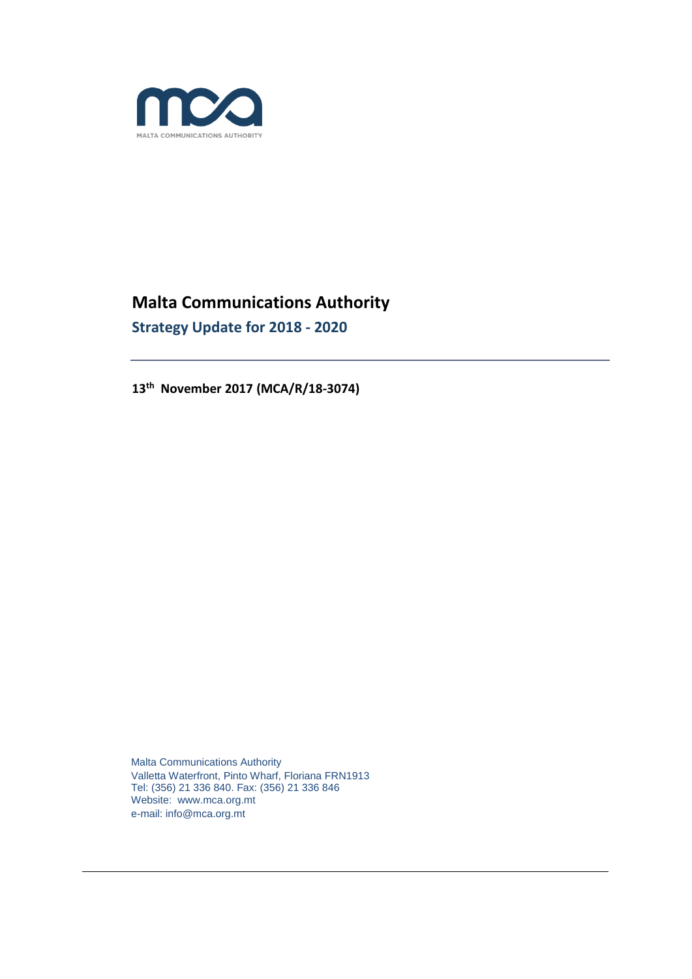

# **Malta Communications Authority Strategy Update for 2018 - 2020**

**13th November 2017 (MCA/R/18-3074)**

Malta Communications Authority Valletta Waterfront, Pinto Wharf, Floriana FRN1913 Tel: (356) 21 336 840. Fax: (356) 21 336 846 Website: www.mca.org.mt e-mail: info@mca.org.mt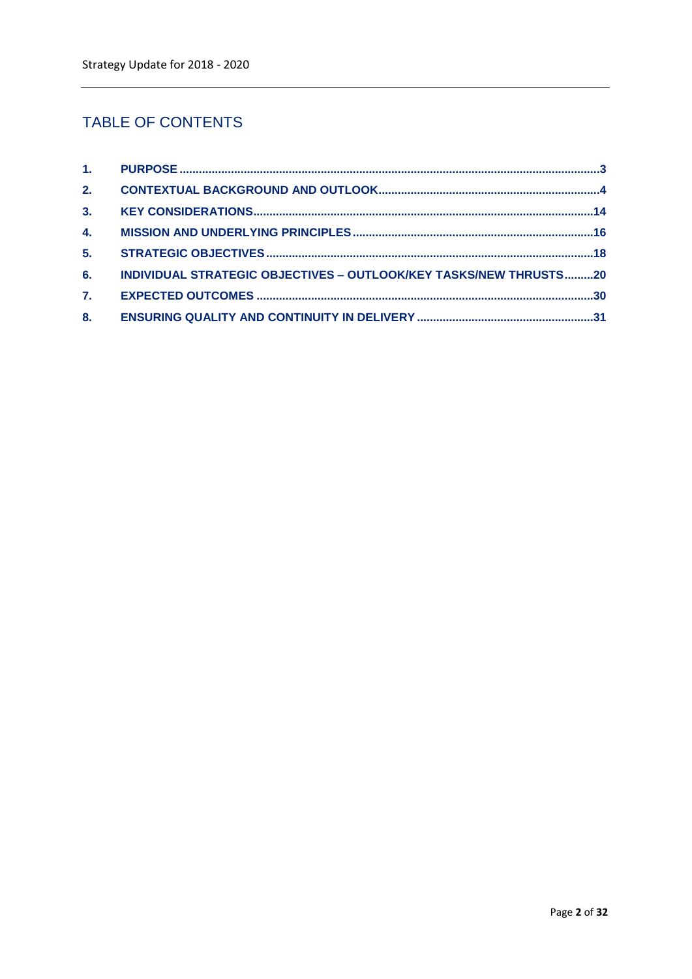# **TABLE OF CONTENTS**

| 2. |                                                                   |  |
|----|-------------------------------------------------------------------|--|
|    |                                                                   |  |
| 4. |                                                                   |  |
| 5. |                                                                   |  |
| 6. | INDIVIDUAL STRATEGIC OBJECTIVES - OUTLOOK/KEY TASKS/NEW THRUSTS20 |  |
| 7. |                                                                   |  |
| 8. |                                                                   |  |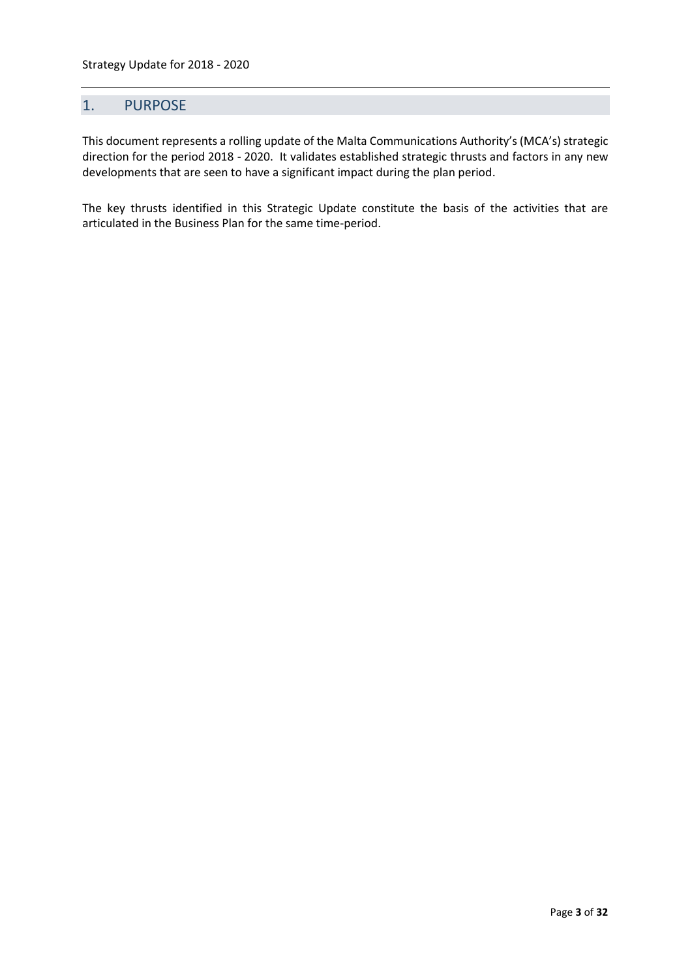# <span id="page-2-0"></span>1. PURPOSE

This document represents a rolling update of the Malta Communications Authority's (MCA's) strategic direction for the period 2018 - 2020. It validates established strategic thrusts and factors in any new developments that are seen to have a significant impact during the plan period.

The key thrusts identified in this Strategic Update constitute the basis of the activities that are articulated in the Business Plan for the same time-period.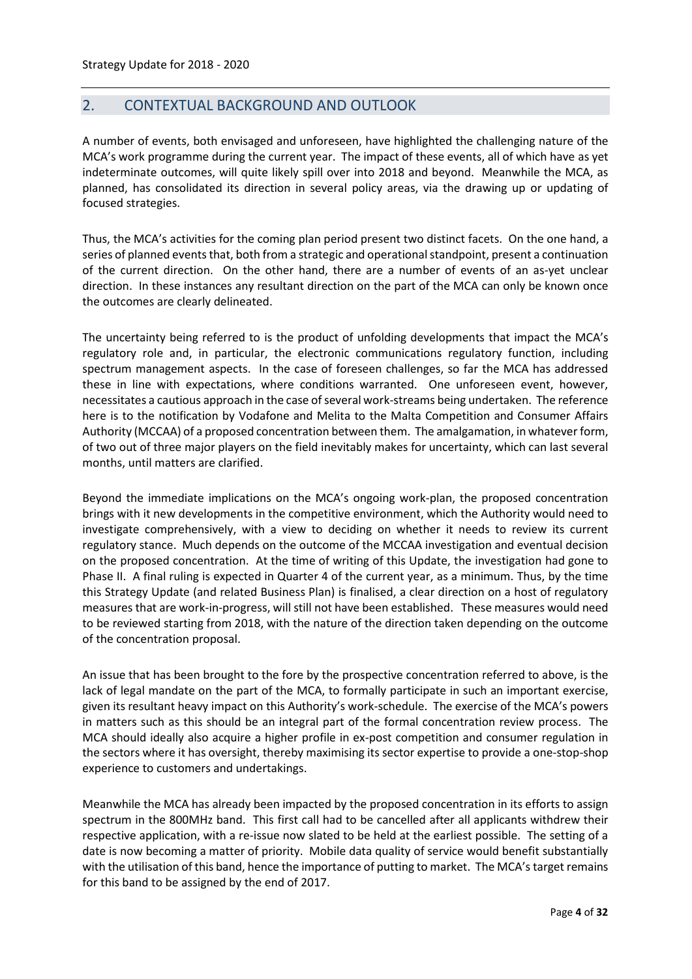# <span id="page-3-0"></span>2. CONTEXTUAL BACKGROUND AND OUTLOOK

A number of events, both envisaged and unforeseen, have highlighted the challenging nature of the MCA's work programme during the current year. The impact of these events, all of which have as yet indeterminate outcomes, will quite likely spill over into 2018 and beyond. Meanwhile the MCA, as planned, has consolidated its direction in several policy areas, via the drawing up or updating of focused strategies.

Thus, the MCA's activities for the coming plan period present two distinct facets. On the one hand, a series of planned events that, both from a strategic and operational standpoint, present a continuation of the current direction. On the other hand, there are a number of events of an as-yet unclear direction. In these instances any resultant direction on the part of the MCA can only be known once the outcomes are clearly delineated.

The uncertainty being referred to is the product of unfolding developments that impact the MCA's regulatory role and, in particular, the electronic communications regulatory function, including spectrum management aspects. In the case of foreseen challenges, so far the MCA has addressed these in line with expectations, where conditions warranted. One unforeseen event, however, necessitates a cautious approach in the case of several work-streams being undertaken. The reference here is to the notification by Vodafone and Melita to the Malta Competition and Consumer Affairs Authority (MCCAA) of a proposed concentration between them. The amalgamation, in whatever form, of two out of three major players on the field inevitably makes for uncertainty, which can last several months, until matters are clarified.

Beyond the immediate implications on the MCA's ongoing work-plan, the proposed concentration brings with it new developments in the competitive environment, which the Authority would need to investigate comprehensively, with a view to deciding on whether it needs to review its current regulatory stance. Much depends on the outcome of the MCCAA investigation and eventual decision on the proposed concentration. At the time of writing of this Update, the investigation had gone to Phase II. A final ruling is expected in Quarter 4 of the current year, as a minimum. Thus, by the time this Strategy Update (and related Business Plan) is finalised, a clear direction on a host of regulatory measures that are work-in-progress, will still not have been established. These measures would need to be reviewed starting from 2018, with the nature of the direction taken depending on the outcome of the concentration proposal.

An issue that has been brought to the fore by the prospective concentration referred to above, is the lack of legal mandate on the part of the MCA, to formally participate in such an important exercise, given its resultant heavy impact on this Authority's work-schedule. The exercise of the MCA's powers in matters such as this should be an integral part of the formal concentration review process. The MCA should ideally also acquire a higher profile in ex-post competition and consumer regulation in the sectors where it has oversight, thereby maximising its sector expertise to provide a one-stop-shop experience to customers and undertakings.

Meanwhile the MCA has already been impacted by the proposed concentration in its efforts to assign spectrum in the 800MHz band. This first call had to be cancelled after all applicants withdrew their respective application, with a re-issue now slated to be held at the earliest possible. The setting of a date is now becoming a matter of priority. Mobile data quality of service would benefit substantially with the utilisation of this band, hence the importance of putting to market. The MCA's target remains for this band to be assigned by the end of 2017.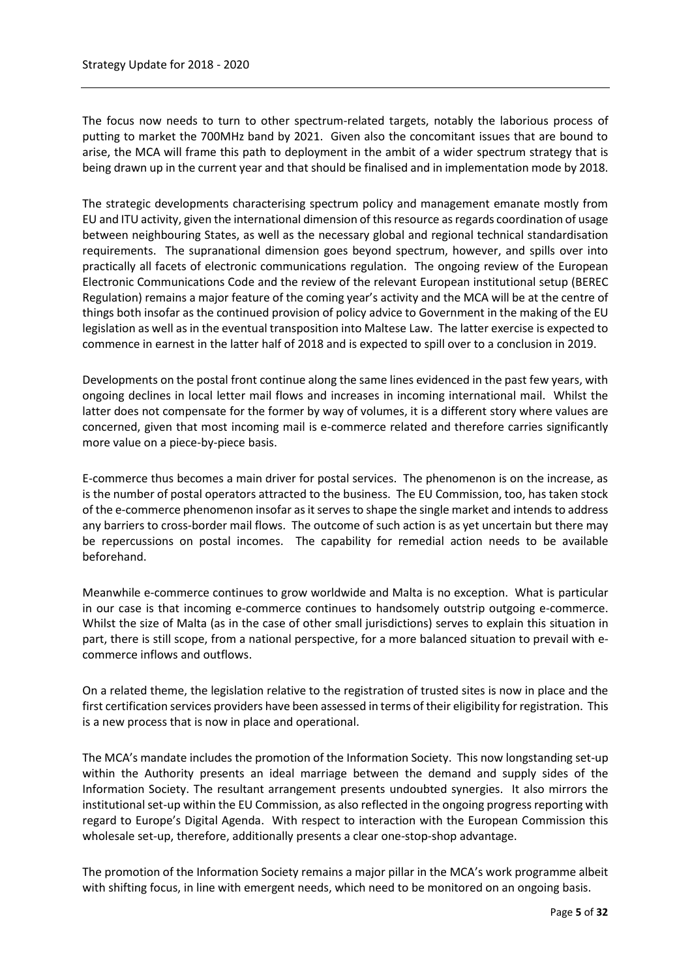The focus now needs to turn to other spectrum-related targets, notably the laborious process of putting to market the 700MHz band by 2021. Given also the concomitant issues that are bound to arise, the MCA will frame this path to deployment in the ambit of a wider spectrum strategy that is being drawn up in the current year and that should be finalised and in implementation mode by 2018.

The strategic developments characterising spectrum policy and management emanate mostly from EU and ITU activity, given the international dimension of this resource as regards coordination of usage between neighbouring States, as well as the necessary global and regional technical standardisation requirements. The supranational dimension goes beyond spectrum, however, and spills over into practically all facets of electronic communications regulation. The ongoing review of the European Electronic Communications Code and the review of the relevant European institutional setup (BEREC Regulation) remains a major feature of the coming year's activity and the MCA will be at the centre of things both insofar as the continued provision of policy advice to Government in the making of the EU legislation as well as in the eventual transposition into Maltese Law. The latter exercise is expected to commence in earnest in the latter half of 2018 and is expected to spill over to a conclusion in 2019.

Developments on the postal front continue along the same lines evidenced in the past few years, with ongoing declines in local letter mail flows and increases in incoming international mail. Whilst the latter does not compensate for the former by way of volumes, it is a different story where values are concerned, given that most incoming mail is e-commerce related and therefore carries significantly more value on a piece-by-piece basis.

E-commerce thus becomes a main driver for postal services. The phenomenon is on the increase, as is the number of postal operators attracted to the business. The EU Commission, too, has taken stock of the e-commerce phenomenon insofar as it serves to shape the single market and intends to address any barriers to cross-border mail flows. The outcome of such action is as yet uncertain but there may be repercussions on postal incomes. The capability for remedial action needs to be available beforehand.

Meanwhile e-commerce continues to grow worldwide and Malta is no exception. What is particular in our case is that incoming e-commerce continues to handsomely outstrip outgoing e-commerce. Whilst the size of Malta (as in the case of other small jurisdictions) serves to explain this situation in part, there is still scope, from a national perspective, for a more balanced situation to prevail with ecommerce inflows and outflows.

On a related theme, the legislation relative to the registration of trusted sites is now in place and the first certification services providers have been assessed in terms of their eligibility for registration. This is a new process that is now in place and operational.

The MCA's mandate includes the promotion of the Information Society. This now longstanding set-up within the Authority presents an ideal marriage between the demand and supply sides of the Information Society. The resultant arrangement presents undoubted synergies. It also mirrors the institutional set-up within the EU Commission, as also reflected in the ongoing progress reporting with regard to Europe's Digital Agenda. With respect to interaction with the European Commission this wholesale set-up, therefore, additionally presents a clear one-stop-shop advantage.

The promotion of the Information Society remains a major pillar in the MCA's work programme albeit with shifting focus, in line with emergent needs, which need to be monitored on an ongoing basis.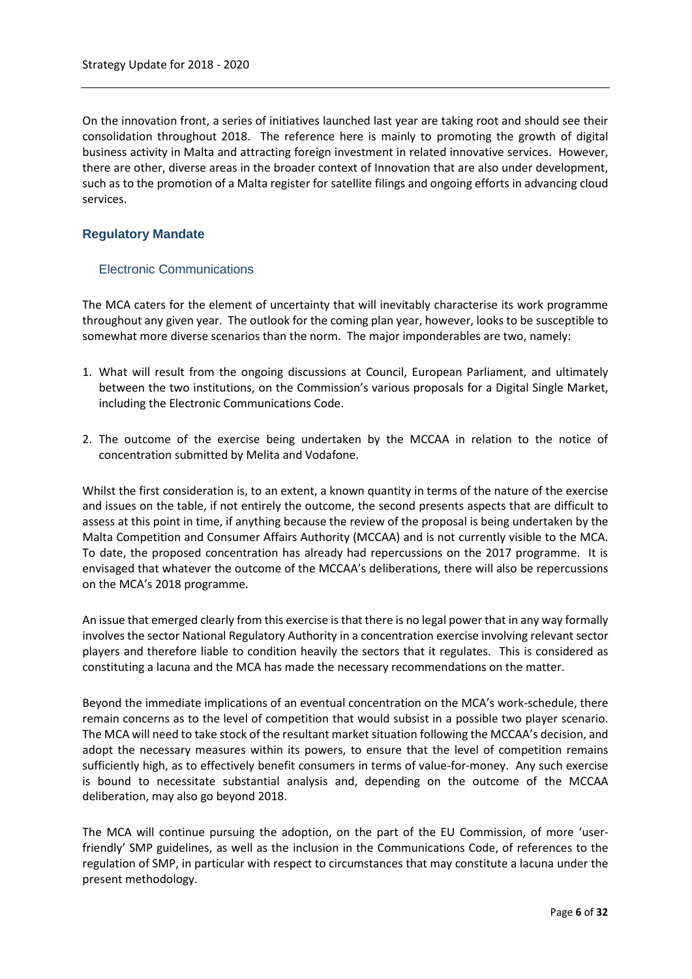On the innovation front, a series of initiatives launched last year are taking root and should see their consolidation throughout 2018. The reference here is mainly to promoting the growth of digital business activity in Malta and attracting foreign investment in related innovative services. However, there are other, diverse areas in the broader context of Innovation that are also under development, such as to the promotion of a Malta register for satellite filings and ongoing efforts in advancing cloud services.

#### **Regulatory Mandate**

#### Electronic Communications

The MCA caters for the element of uncertainty that will inevitably characterise its work programme throughout any given year. The outlook for the coming plan year, however, looks to be susceptible to somewhat more diverse scenarios than the norm. The major imponderables are two, namely:

- 1. What will result from the ongoing discussions at Council, European Parliament, and ultimately between the two institutions, on the Commission's various proposals for a Digital Single Market, including the Electronic Communications Code.
- 2. The outcome of the exercise being undertaken by the MCCAA in relation to the notice of concentration submitted by Melita and Vodafone.

Whilst the first consideration is, to an extent, a known quantity in terms of the nature of the exercise and issues on the table, if not entirely the outcome, the second presents aspects that are difficult to assess at this point in time, if anything because the review of the proposal is being undertaken by the Malta Competition and Consumer Affairs Authority (MCCAA) and is not currently visible to the MCA. To date, the proposed concentration has already had repercussions on the 2017 programme. It is envisaged that whatever the outcome of the MCCAA's deliberations, there will also be repercussions on the MCA's 2018 programme.

An issue that emerged clearly from this exercise is that there is no legal power that in any way formally involves the sector National Regulatory Authority in a concentration exercise involving relevant sector players and therefore liable to condition heavily the sectors that it regulates. This is considered as constituting a lacuna and the MCA has made the necessary recommendations on the matter.

Beyond the immediate implications of an eventual concentration on the MCA's work-schedule, there remain concerns as to the level of competition that would subsist in a possible two player scenario. The MCA will need to take stock of the resultant market situation following the MCCAA's decision, and adopt the necessary measures within its powers, to ensure that the level of competition remains sufficiently high, as to effectively benefit consumers in terms of value-for-money. Any such exercise is bound to necessitate substantial analysis and, depending on the outcome of the MCCAA deliberation, may also go beyond 2018.

The MCA will continue pursuing the adoption, on the part of the EU Commission, of more 'userfriendly' SMP guidelines, as well as the inclusion in the Communications Code, of references to the regulation of SMP, in particular with respect to circumstances that may constitute a lacuna under the present methodology.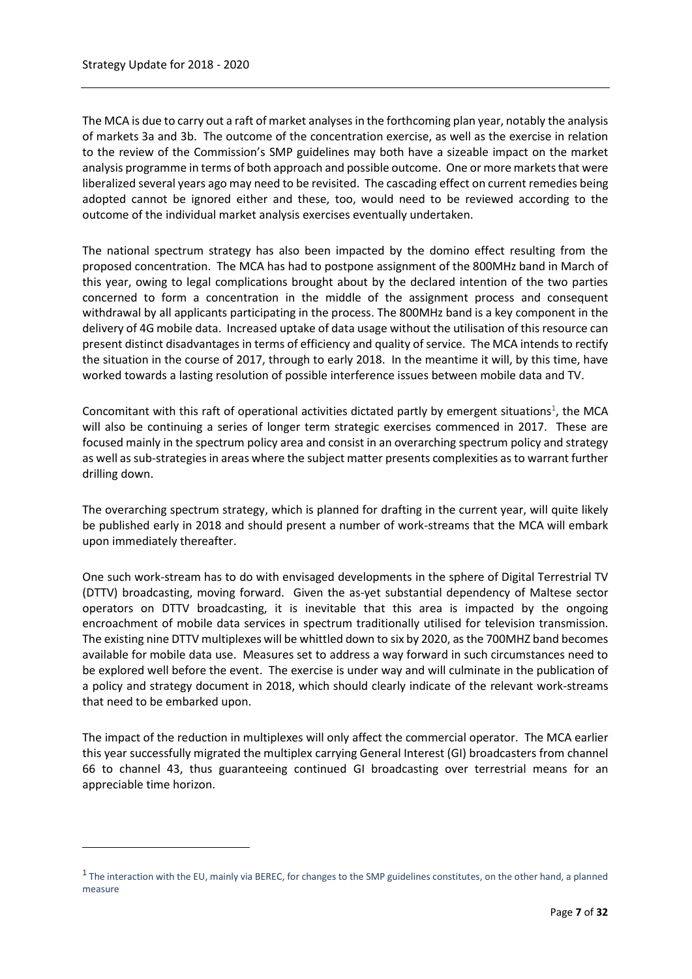$\overline{\phantom{a}}$ 

The MCA is due to carry out a raft of market analyses in the forthcoming plan year, notably the analysis of markets 3a and 3b. The outcome of the concentration exercise, as well as the exercise in relation to the review of the Commission's SMP guidelines may both have a sizeable impact on the market analysis programme in terms of both approach and possible outcome. One or more markets that were liberalized several years ago may need to be revisited. The cascading effect on current remedies being adopted cannot be ignored either and these, too, would need to be reviewed according to the outcome of the individual market analysis exercises eventually undertaken.

The national spectrum strategy has also been impacted by the domino effect resulting from the proposed concentration. The MCA has had to postpone assignment of the 800MHz band in March of this year, owing to legal complications brought about by the declared intention of the two parties concerned to form a concentration in the middle of the assignment process and consequent withdrawal by all applicants participating in the process. The 800MHz band is a key component in the delivery of 4G mobile data. Increased uptake of data usage without the utilisation of this resource can present distinct disadvantages in terms of efficiency and quality of service. The MCA intends to rectify the situation in the course of 2017, through to early 2018. In the meantime it will, by this time, have worked towards a lasting resolution of possible interference issues between mobile data and TV.

Concomitant with this raft of operational activities dictated partly by emergent situations<sup>1</sup>, the MCA will also be continuing a series of longer term strategic exercises commenced in 2017. These are focused mainly in the spectrum policy area and consist in an overarching spectrum policy and strategy as well as sub-strategies in areas where the subject matter presents complexities as to warrant further drilling down.

The overarching spectrum strategy, which is planned for drafting in the current year, will quite likely be published early in 2018 and should present a number of work-streams that the MCA will embark upon immediately thereafter.

One such work-stream has to do with envisaged developments in the sphere of Digital Terrestrial TV (DTTV) broadcasting, moving forward. Given the as-yet substantial dependency of Maltese sector operators on DTTV broadcasting, it is inevitable that this area is impacted by the ongoing encroachment of mobile data services in spectrum traditionally utilised for television transmission. The existing nine DTTV multiplexes will be whittled down to six by 2020, as the 700MHZ band becomes available for mobile data use. Measures set to address a way forward in such circumstances need to be explored well before the event. The exercise is under way and will culminate in the publication of a policy and strategy document in 2018, which should clearly indicate of the relevant work-streams that need to be embarked upon.

The impact of the reduction in multiplexes will only affect the commercial operator. The MCA earlier this year successfully migrated the multiplex carrying General Interest (GI) broadcasters from channel 66 to channel 43, thus guaranteeing continued GI broadcasting over terrestrial means for an appreciable time horizon.

<sup>&</sup>lt;sup>1</sup> The interaction with the EU, mainly via BEREC, for changes to the SMP guidelines constitutes, on the other hand, a planned measure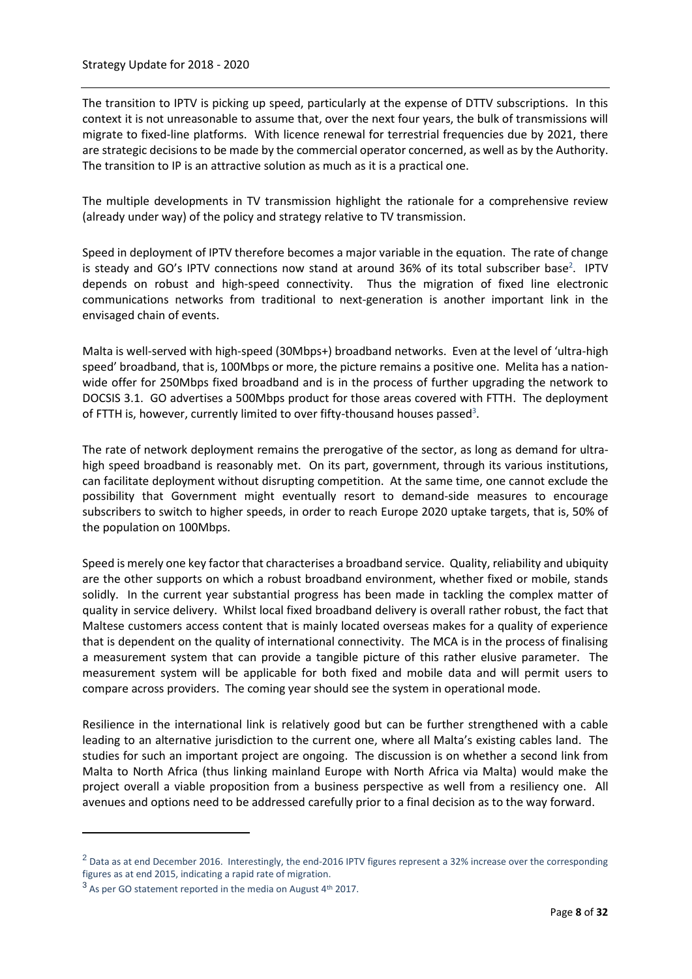The transition to IPTV is picking up speed, particularly at the expense of DTTV subscriptions. In this context it is not unreasonable to assume that, over the next four years, the bulk of transmissions will migrate to fixed-line platforms. With licence renewal for terrestrial frequencies due by 2021, there are strategic decisions to be made by the commercial operator concerned, as well as by the Authority. The transition to IP is an attractive solution as much as it is a practical one.

The multiple developments in TV transmission highlight the rationale for a comprehensive review (already under way) of the policy and strategy relative to TV transmission.

Speed in deployment of IPTV therefore becomes a major variable in the equation. The rate of change is steady and GO's IPTV connections now stand at around 36% of its total subscriber base<sup>2</sup>. IPTV depends on robust and high-speed connectivity. Thus the migration of fixed line electronic communications networks from traditional to next-generation is another important link in the envisaged chain of events.

Malta is well-served with high-speed (30Mbps+) broadband networks. Even at the level of 'ultra-high speed' broadband, that is, 100Mbps or more, the picture remains a positive one. Melita has a nationwide offer for 250Mbps fixed broadband and is in the process of further upgrading the network to DOCSIS 3.1. GO advertises a 500Mbps product for those areas covered with FTTH. The deployment of FTTH is, however, currently limited to over fifty-thousand houses passed<sup>3</sup>.

The rate of network deployment remains the prerogative of the sector, as long as demand for ultrahigh speed broadband is reasonably met. On its part, government, through its various institutions, can facilitate deployment without disrupting competition. At the same time, one cannot exclude the possibility that Government might eventually resort to demand-side measures to encourage subscribers to switch to higher speeds, in order to reach Europe 2020 uptake targets, that is, 50% of the population on 100Mbps.

Speed is merely one key factor that characterises a broadband service. Quality, reliability and ubiquity are the other supports on which a robust broadband environment, whether fixed or mobile, stands solidly. In the current year substantial progress has been made in tackling the complex matter of quality in service delivery. Whilst local fixed broadband delivery is overall rather robust, the fact that Maltese customers access content that is mainly located overseas makes for a quality of experience that is dependent on the quality of international connectivity. The MCA is in the process of finalising a measurement system that can provide a tangible picture of this rather elusive parameter. The measurement system will be applicable for both fixed and mobile data and will permit users to compare across providers. The coming year should see the system in operational mode.

Resilience in the international link is relatively good but can be further strengthened with a cable leading to an alternative jurisdiction to the current one, where all Malta's existing cables land. The studies for such an important project are ongoing. The discussion is on whether a second link from Malta to North Africa (thus linking mainland Europe with North Africa via Malta) would make the project overall a viable proposition from a business perspective as well from a resiliency one. All avenues and options need to be addressed carefully prior to a final decision as to the way forward.

 $\overline{a}$ 

<sup>&</sup>lt;sup>2</sup> Data as at end December 2016. Interestingly, the end-2016 IPTV figures represent a 32% increase over the corresponding figures as at end 2015, indicating a rapid rate of migration.

<sup>&</sup>lt;sup>3</sup> As per GO statement reported in the media on August 4<sup>th</sup> 2017.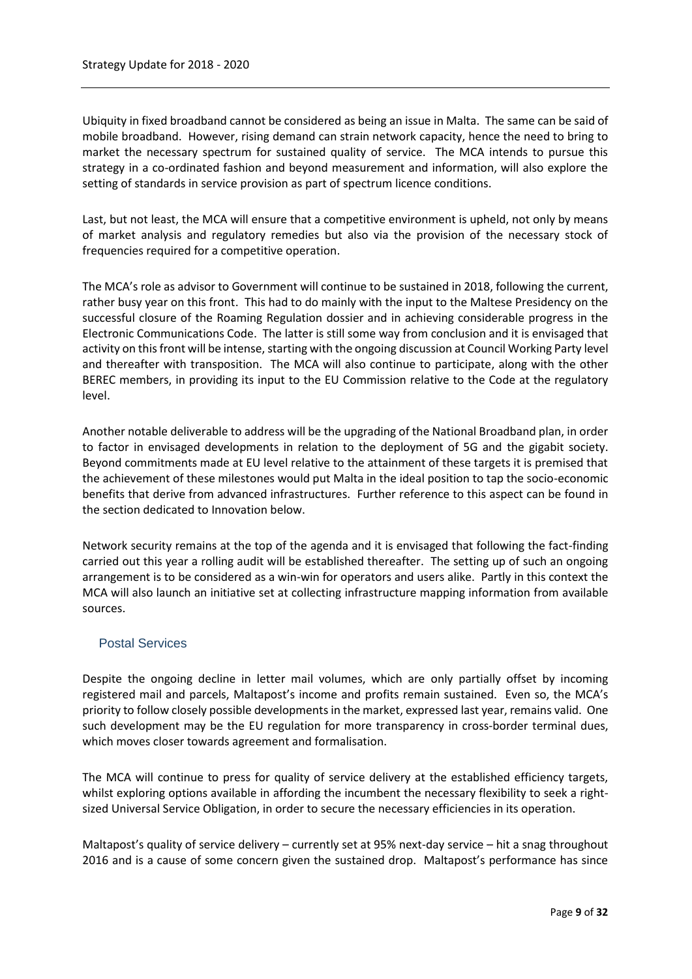Ubiquity in fixed broadband cannot be considered as being an issue in Malta. The same can be said of mobile broadband. However, rising demand can strain network capacity, hence the need to bring to market the necessary spectrum for sustained quality of service. The MCA intends to pursue this strategy in a co-ordinated fashion and beyond measurement and information, will also explore the setting of standards in service provision as part of spectrum licence conditions.

Last, but not least, the MCA will ensure that a competitive environment is upheld, not only by means of market analysis and regulatory remedies but also via the provision of the necessary stock of frequencies required for a competitive operation.

The MCA's role as advisor to Government will continue to be sustained in 2018, following the current, rather busy year on this front. This had to do mainly with the input to the Maltese Presidency on the successful closure of the Roaming Regulation dossier and in achieving considerable progress in the Electronic Communications Code. The latter is still some way from conclusion and it is envisaged that activity on this front will be intense, starting with the ongoing discussion at Council Working Party level and thereafter with transposition. The MCA will also continue to participate, along with the other BEREC members, in providing its input to the EU Commission relative to the Code at the regulatory level.

Another notable deliverable to address will be the upgrading of the National Broadband plan, in order to factor in envisaged developments in relation to the deployment of 5G and the gigabit society. Beyond commitments made at EU level relative to the attainment of these targets it is premised that the achievement of these milestones would put Malta in the ideal position to tap the socio-economic benefits that derive from advanced infrastructures. Further reference to this aspect can be found in the section dedicated to Innovation below.

Network security remains at the top of the agenda and it is envisaged that following the fact-finding carried out this year a rolling audit will be established thereafter. The setting up of such an ongoing arrangement is to be considered as a win-win for operators and users alike. Partly in this context the MCA will also launch an initiative set at collecting infrastructure mapping information from available sources.

# Postal Services

Despite the ongoing decline in letter mail volumes, which are only partially offset by incoming registered mail and parcels, Maltapost's income and profits remain sustained. Even so, the MCA's priority to follow closely possible developments in the market, expressed last year, remains valid. One such development may be the EU regulation for more transparency in cross-border terminal dues, which moves closer towards agreement and formalisation.

The MCA will continue to press for quality of service delivery at the established efficiency targets, whilst exploring options available in affording the incumbent the necessary flexibility to seek a rightsized Universal Service Obligation, in order to secure the necessary efficiencies in its operation.

Maltapost's quality of service delivery – currently set at 95% next-day service – hit a snag throughout 2016 and is a cause of some concern given the sustained drop. Maltapost's performance has since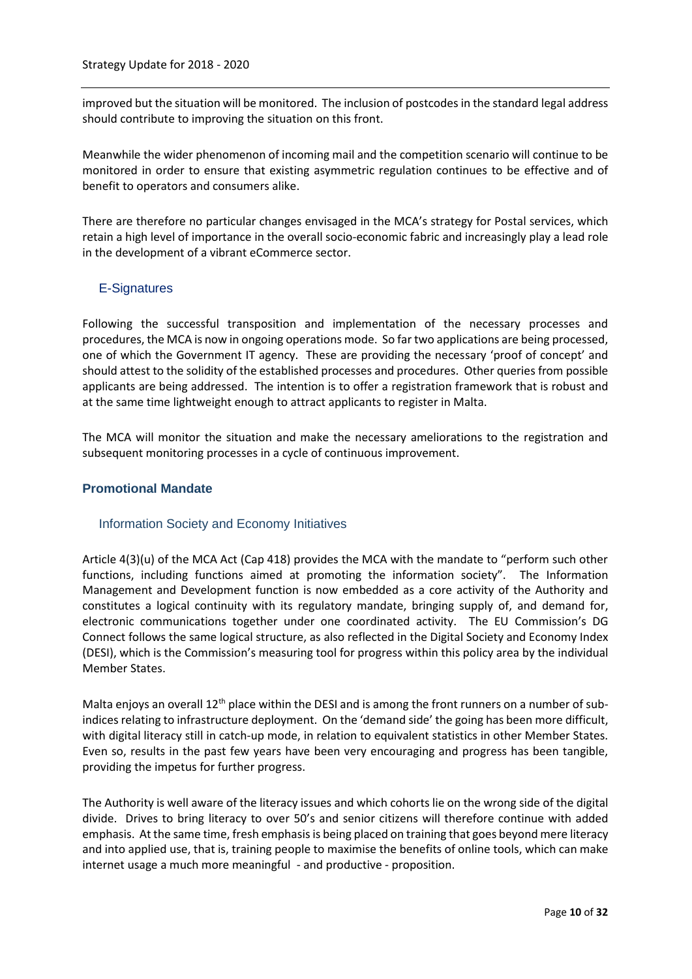improved but the situation will be monitored. The inclusion of postcodes in the standard legal address should contribute to improving the situation on this front.

Meanwhile the wider phenomenon of incoming mail and the competition scenario will continue to be monitored in order to ensure that existing asymmetric regulation continues to be effective and of benefit to operators and consumers alike.

There are therefore no particular changes envisaged in the MCA's strategy for Postal services, which retain a high level of importance in the overall socio-economic fabric and increasingly play a lead role in the development of a vibrant eCommerce sector.

# E-Signatures

Following the successful transposition and implementation of the necessary processes and procedures, the MCA is now in ongoing operations mode. So far two applications are being processed, one of which the Government IT agency. These are providing the necessary 'proof of concept' and should attest to the solidity of the established processes and procedures. Other queries from possible applicants are being addressed. The intention is to offer a registration framework that is robust and at the same time lightweight enough to attract applicants to register in Malta.

The MCA will monitor the situation and make the necessary ameliorations to the registration and subsequent monitoring processes in a cycle of continuous improvement.

#### **Promotional Mandate**

# Information Society and Economy Initiatives

Article 4(3)(u) of the MCA Act (Cap 418) provides the MCA with the mandate to "perform such other functions, including functions aimed at promoting the information society". The Information Management and Development function is now embedded as a core activity of the Authority and constitutes a logical continuity with its regulatory mandate, bringing supply of, and demand for, electronic communications together under one coordinated activity. The EU Commission's DG Connect follows the same logical structure, as also reflected in the Digital Society and Economy Index (DESI), which is the Commission's measuring tool for progress within this policy area by the individual Member States.

Malta enjoys an overall 12<sup>th</sup> place within the DESI and is among the front runners on a number of subindices relating to infrastructure deployment. On the 'demand side' the going has been more difficult, with digital literacy still in catch-up mode, in relation to equivalent statistics in other Member States. Even so, results in the past few years have been very encouraging and progress has been tangible, providing the impetus for further progress.

The Authority is well aware of the literacy issues and which cohorts lie on the wrong side of the digital divide. Drives to bring literacy to over 50's and senior citizens will therefore continue with added emphasis. At the same time, fresh emphasis is being placed on training that goes beyond mere literacy and into applied use, that is, training people to maximise the benefits of online tools, which can make internet usage a much more meaningful - and productive - proposition.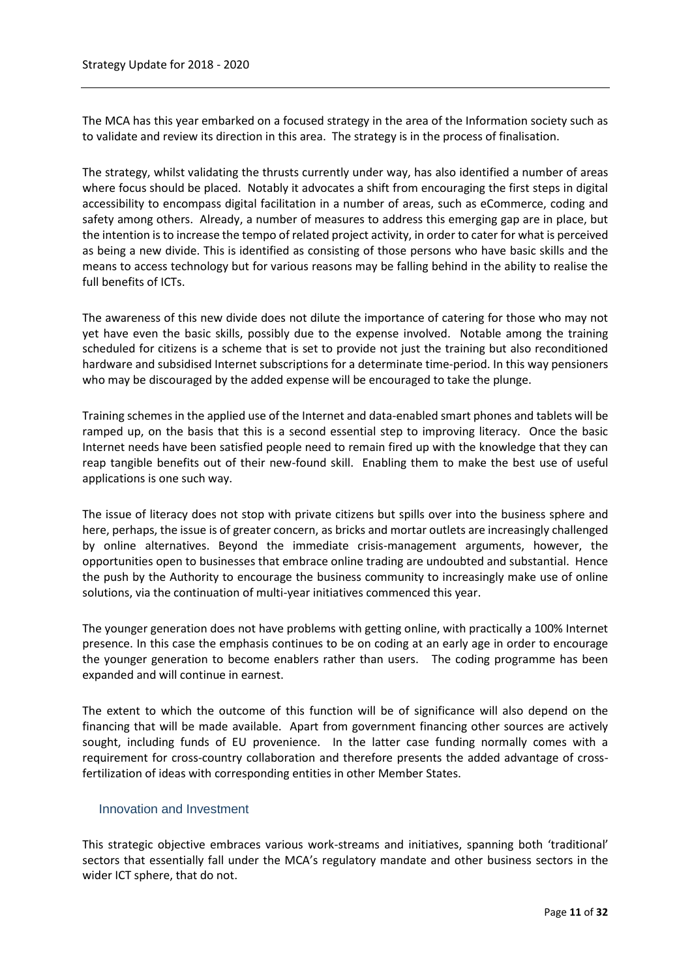The MCA has this year embarked on a focused strategy in the area of the Information society such as to validate and review its direction in this area. The strategy is in the process of finalisation.

The strategy, whilst validating the thrusts currently under way, has also identified a number of areas where focus should be placed. Notably it advocates a shift from encouraging the first steps in digital accessibility to encompass digital facilitation in a number of areas, such as eCommerce, coding and safety among others. Already, a number of measures to address this emerging gap are in place, but the intention is to increase the tempo of related project activity, in order to cater for what is perceived as being a new divide. This is identified as consisting of those persons who have basic skills and the means to access technology but for various reasons may be falling behind in the ability to realise the full benefits of ICTs.

The awareness of this new divide does not dilute the importance of catering for those who may not yet have even the basic skills, possibly due to the expense involved. Notable among the training scheduled for citizens is a scheme that is set to provide not just the training but also reconditioned hardware and subsidised Internet subscriptions for a determinate time-period. In this way pensioners who may be discouraged by the added expense will be encouraged to take the plunge.

Training schemes in the applied use of the Internet and data-enabled smart phones and tablets will be ramped up, on the basis that this is a second essential step to improving literacy. Once the basic Internet needs have been satisfied people need to remain fired up with the knowledge that they can reap tangible benefits out of their new-found skill. Enabling them to make the best use of useful applications is one such way.

The issue of literacy does not stop with private citizens but spills over into the business sphere and here, perhaps, the issue is of greater concern, as bricks and mortar outlets are increasingly challenged by online alternatives. Beyond the immediate crisis-management arguments, however, the opportunities open to businesses that embrace online trading are undoubted and substantial. Hence the push by the Authority to encourage the business community to increasingly make use of online solutions, via the continuation of multi-year initiatives commenced this year.

The younger generation does not have problems with getting online, with practically a 100% Internet presence. In this case the emphasis continues to be on coding at an early age in order to encourage the younger generation to become enablers rather than users. The coding programme has been expanded and will continue in earnest.

The extent to which the outcome of this function will be of significance will also depend on the financing that will be made available. Apart from government financing other sources are actively sought, including funds of EU provenience. In the latter case funding normally comes with a requirement for cross-country collaboration and therefore presents the added advantage of crossfertilization of ideas with corresponding entities in other Member States.

# Innovation and Investment

This strategic objective embraces various work-streams and initiatives, spanning both 'traditional' sectors that essentially fall under the MCA's regulatory mandate and other business sectors in the wider ICT sphere, that do not.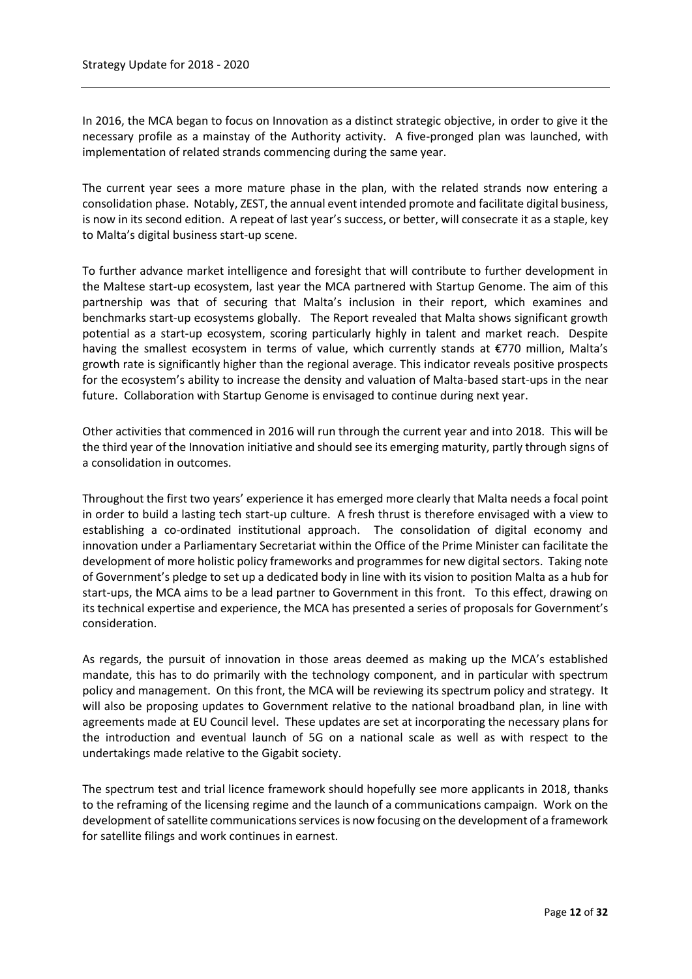In 2016, the MCA began to focus on Innovation as a distinct strategic objective, in order to give it the necessary profile as a mainstay of the Authority activity. A five-pronged plan was launched, with implementation of related strands commencing during the same year.

The current year sees a more mature phase in the plan, with the related strands now entering a consolidation phase. Notably, ZEST, the annual event intended promote and facilitate digital business, is now in its second edition. A repeat of last year's success, or better, will consecrate it as a staple, key to Malta's digital business start-up scene.

To further advance market intelligence and foresight that will contribute to further development in the Maltese start-up ecosystem, last year the MCA partnered with Startup Genome. The aim of this partnership was that of securing that Malta's inclusion in their report, which examines and benchmarks start-up ecosystems globally. The Report revealed that Malta shows significant growth potential as a start-up ecosystem, scoring particularly highly in talent and market reach. Despite having the smallest ecosystem in terms of value, which currently stands at €770 million, Malta's growth rate is significantly higher than the regional average. This indicator reveals positive prospects for the ecosystem's ability to increase the density and valuation of Malta-based start-ups in the near future. Collaboration with Startup Genome is envisaged to continue during next year.

Other activities that commenced in 2016 will run through the current year and into 2018. This will be the third year of the Innovation initiative and should see its emerging maturity, partly through signs of a consolidation in outcomes.

Throughout the first two years' experience it has emerged more clearly that Malta needs a focal point in order to build a lasting tech start-up culture. A fresh thrust is therefore envisaged with a view to establishing a co-ordinated institutional approach. The consolidation of digital economy and innovation under a Parliamentary Secretariat within the Office of the Prime Minister can facilitate the development of more holistic policy frameworks and programmes for new digital sectors. Taking note of Government's pledge to set up a dedicated body in line with its vision to position Malta as a hub for start-ups, the MCA aims to be a lead partner to Government in this front. To this effect, drawing on its technical expertise and experience, the MCA has presented a series of proposals for Government's consideration.

As regards, the pursuit of innovation in those areas deemed as making up the MCA's established mandate, this has to do primarily with the technology component, and in particular with spectrum policy and management. On this front, the MCA will be reviewing its spectrum policy and strategy. It will also be proposing updates to Government relative to the national broadband plan, in line with agreements made at EU Council level. These updates are set at incorporating the necessary plans for the introduction and eventual launch of 5G on a national scale as well as with respect to the undertakings made relative to the Gigabit society.

The spectrum test and trial licence framework should hopefully see more applicants in 2018, thanks to the reframing of the licensing regime and the launch of a communications campaign. Work on the development of satellite communications services is now focusing on the development of a framework for satellite filings and work continues in earnest.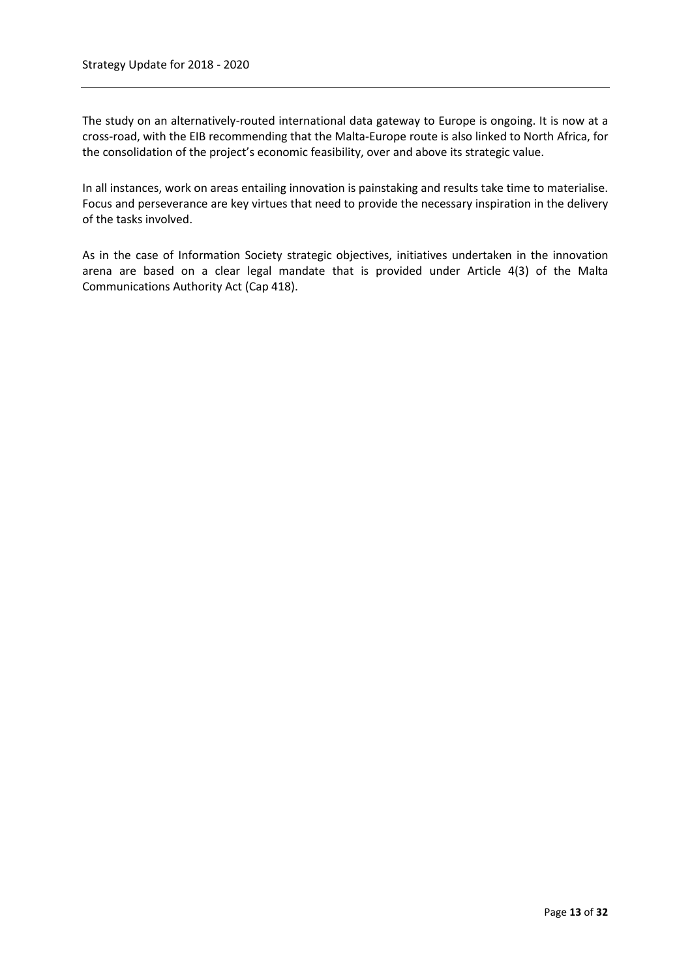The study on an alternatively-routed international data gateway to Europe is ongoing. It is now at a cross-road, with the EIB recommending that the Malta-Europe route is also linked to North Africa, for the consolidation of the project's economic feasibility, over and above its strategic value.

In all instances, work on areas entailing innovation is painstaking and results take time to materialise. Focus and perseverance are key virtues that need to provide the necessary inspiration in the delivery of the tasks involved.

As in the case of Information Society strategic objectives, initiatives undertaken in the innovation arena are based on a clear legal mandate that is provided under Article 4(3) of the Malta Communications Authority Act (Cap 418).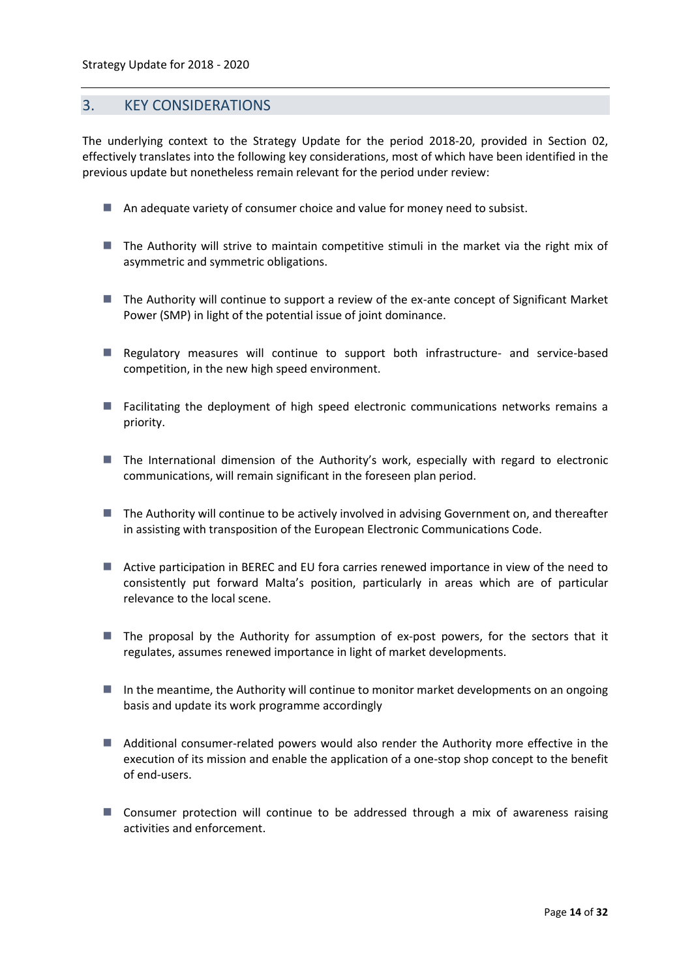# <span id="page-13-0"></span>3. KEY CONSIDERATIONS

The underlying context to the Strategy Update for the period 2018-20, provided in Section 02, effectively translates into the following key considerations, most of which have been identified in the previous update but nonetheless remain relevant for the period under review:

- An adequate variety of consumer choice and value for money need to subsist.
- The Authority will strive to maintain competitive stimuli in the market via the right mix of asymmetric and symmetric obligations.
- The Authority will continue to support a review of the ex-ante concept of Significant Market Power (SMP) in light of the potential issue of joint dominance.
- Regulatory measures will continue to support both infrastructure- and service-based competition, in the new high speed environment.
- **Facilitating the deployment of high speed electronic communications networks remains a** priority.
- **The International dimension of the Authority's work, especially with regard to electronic** communications, will remain significant in the foreseen plan period.
- The Authority will continue to be actively involved in advising Government on, and thereafter in assisting with transposition of the European Electronic Communications Code.
- Active participation in BEREC and EU fora carries renewed importance in view of the need to consistently put forward Malta's position, particularly in areas which are of particular relevance to the local scene.
- $\blacksquare$  The proposal by the Authority for assumption of ex-post powers, for the sectors that it regulates, assumes renewed importance in light of market developments.
- $\blacksquare$  In the meantime, the Authority will continue to monitor market developments on an ongoing basis and update its work programme accordingly
- Additional consumer-related powers would also render the Authority more effective in the execution of its mission and enable the application of a one-stop shop concept to the benefit of end-users.
- **Consumer protection will continue to be addressed through a mix of awareness raising** activities and enforcement.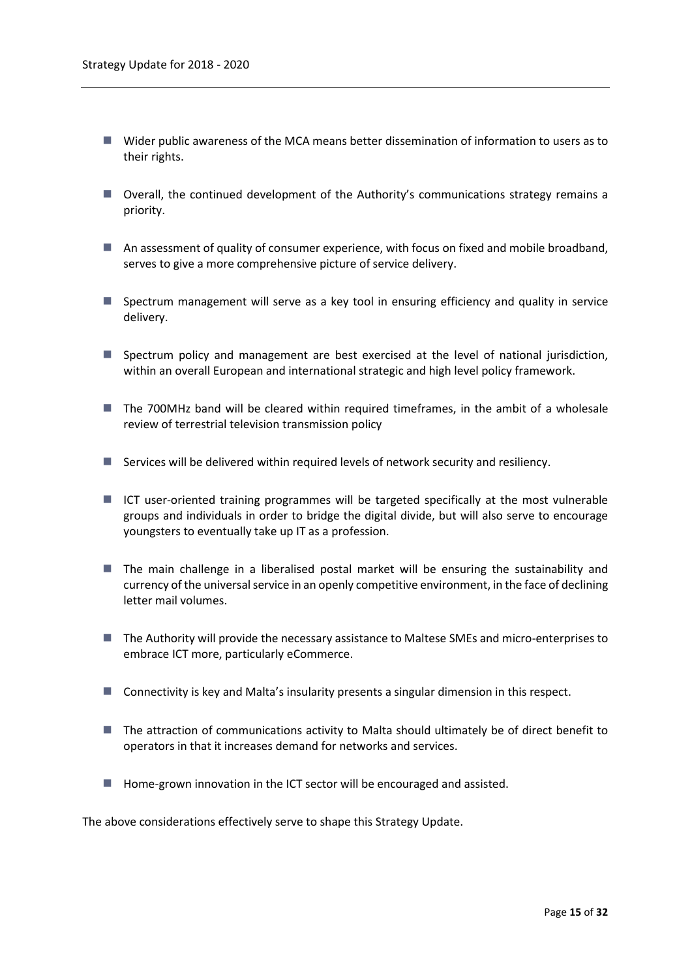- Wider public awareness of the MCA means better dissemination of information to users as to their rights.
- Overall, the continued development of the Authority's communications strategy remains a priority.
- An assessment of quality of consumer experience, with focus on fixed and mobile broadband, serves to give a more comprehensive picture of service delivery.
- **Spectrum management will serve as a key tool in ensuring efficiency and quality in service** delivery.
- Spectrum policy and management are best exercised at the level of national jurisdiction, within an overall European and international strategic and high level policy framework.
- The 700MHz band will be cleared within required timeframes, in the ambit of a wholesale review of terrestrial television transmission policy
- $\blacksquare$  Services will be delivered within required levels of network security and resiliency.
- ICT user-oriented training programmes will be targeted specifically at the most vulnerable groups and individuals in order to bridge the digital divide, but will also serve to encourage youngsters to eventually take up IT as a profession.
- The main challenge in a liberalised postal market will be ensuring the sustainability and currency of the universal service in an openly competitive environment, in the face of declining letter mail volumes.
- The Authority will provide the necessary assistance to Maltese SMEs and micro-enterprises to embrace ICT more, particularly eCommerce.
- Connectivity is key and Malta's insularity presents a singular dimension in this respect.
- The attraction of communications activity to Malta should ultimately be of direct benefit to operators in that it increases demand for networks and services.
- Home-grown innovation in the ICT sector will be encouraged and assisted.

The above considerations effectively serve to shape this Strategy Update.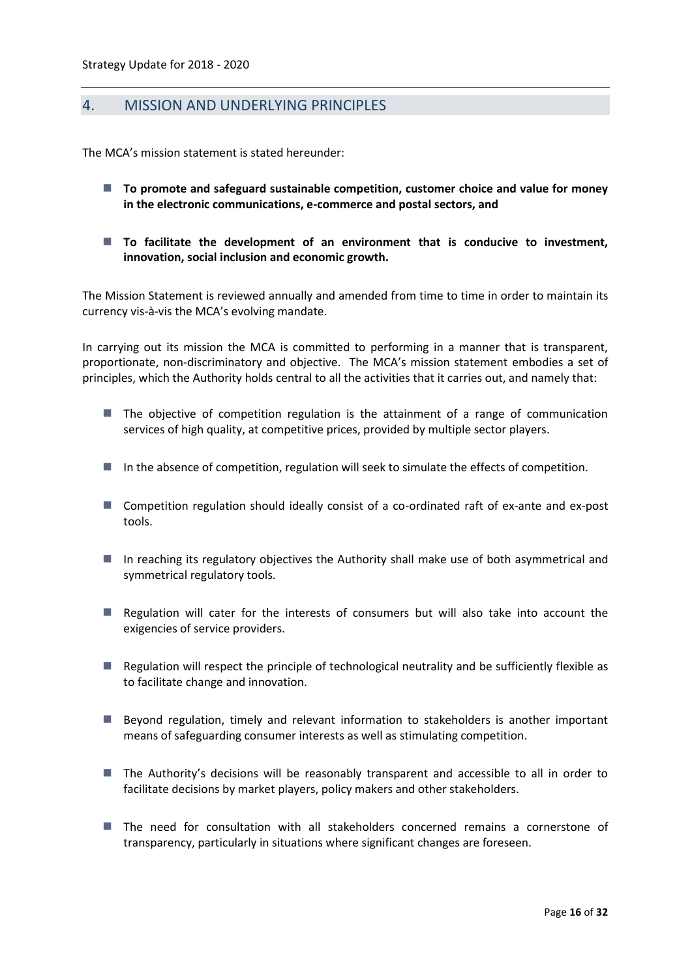# <span id="page-15-0"></span>4. MISSION AND UNDERLYING PRINCIPLES

The MCA's mission statement is stated hereunder:

- **To promote and safeguard sustainable competition, customer choice and value for money in the electronic communications, e-commerce and postal sectors, and**
- To facilitate the development of an environment that is conducive to investment, **innovation, social inclusion and economic growth.**

The Mission Statement is reviewed annually and amended from time to time in order to maintain its currency vis-à-vis the MCA's evolving mandate.

In carrying out its mission the MCA is committed to performing in a manner that is transparent, proportionate, non-discriminatory and objective. The MCA's mission statement embodies a set of principles, which the Authority holds central to all the activities that it carries out, and namely that:

- $\blacksquare$  The objective of competition regulation is the attainment of a range of communication services of high quality, at competitive prices, provided by multiple sector players.
- In the absence of competition, regulation will seek to simulate the effects of competition.
- Competition regulation should ideally consist of a co-ordinated raft of ex-ante and ex-post tools.
- In reaching its regulatory objectives the Authority shall make use of both asymmetrical and symmetrical regulatory tools.
- **Regulation will cater for the interests of consumers but will also take into account the** exigencies of service providers.
- **Regulation will respect the principle of technological neutrality and be sufficiently flexible as** to facilitate change and innovation.
- Beyond regulation, timely and relevant information to stakeholders is another important means of safeguarding consumer interests as well as stimulating competition.
- The Authority's decisions will be reasonably transparent and accessible to all in order to facilitate decisions by market players, policy makers and other stakeholders.
- The need for consultation with all stakeholders concerned remains a cornerstone of transparency, particularly in situations where significant changes are foreseen.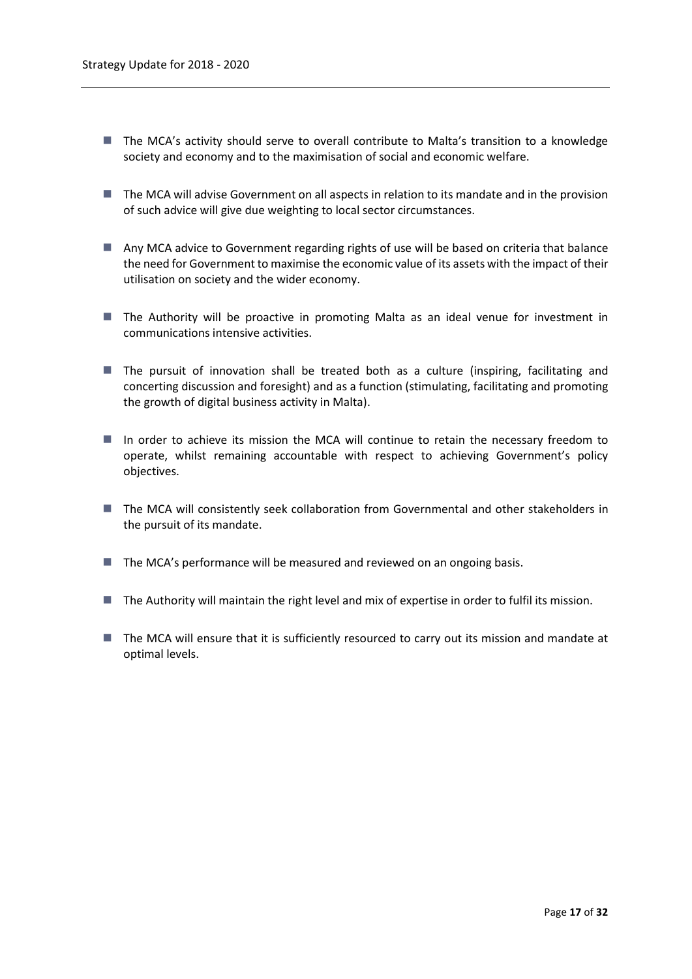- The MCA's activity should serve to overall contribute to Malta's transition to a knowledge society and economy and to the maximisation of social and economic welfare.
- **The MCA will advise Government on all aspects in relation to its mandate and in the provision** of such advice will give due weighting to local sector circumstances.
- Any MCA advice to Government regarding rights of use will be based on criteria that balance the need for Government to maximise the economic value of its assets with the impact of their utilisation on society and the wider economy.
- The Authority will be proactive in promoting Malta as an ideal venue for investment in communications intensive activities.
- The pursuit of innovation shall be treated both as a culture (inspiring, facilitating and concerting discussion and foresight) and as a function (stimulating, facilitating and promoting the growth of digital business activity in Malta).
- In order to achieve its mission the MCA will continue to retain the necessary freedom to operate, whilst remaining accountable with respect to achieving Government's policy objectives.
- **The MCA will consistently seek collaboration from Governmental and other stakeholders in** the pursuit of its mandate.
- $\blacksquare$  The MCA's performance will be measured and reviewed on an ongoing basis.
- The Authority will maintain the right level and mix of expertise in order to fulfil its mission.
- The MCA will ensure that it is sufficiently resourced to carry out its mission and mandate at optimal levels.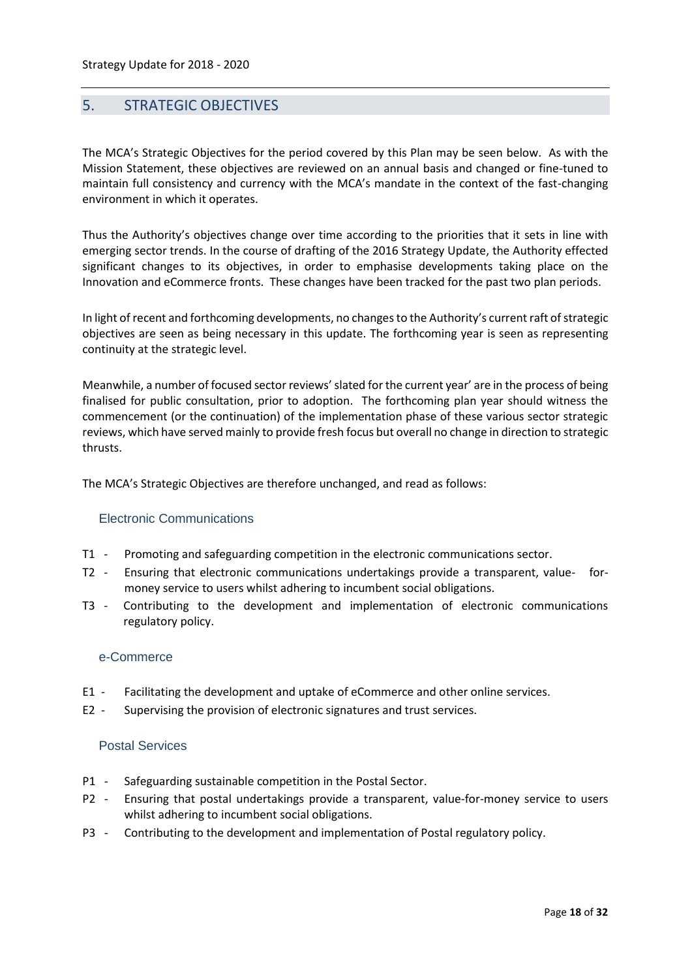# <span id="page-17-0"></span>5. STRATEGIC OBJECTIVES

The MCA's Strategic Objectives for the period covered by this Plan may be seen below. As with the Mission Statement, these objectives are reviewed on an annual basis and changed or fine-tuned to maintain full consistency and currency with the MCA's mandate in the context of the fast-changing environment in which it operates.

Thus the Authority's objectives change over time according to the priorities that it sets in line with emerging sector trends. In the course of drafting of the 2016 Strategy Update, the Authority effected significant changes to its objectives, in order to emphasise developments taking place on the Innovation and eCommerce fronts. These changes have been tracked for the past two plan periods.

In light of recent and forthcoming developments, no changesto the Authority's current raft of strategic objectives are seen as being necessary in this update. The forthcoming year is seen as representing continuity at the strategic level.

Meanwhile, a number of focused sector reviews' slated for the current year' are in the process of being finalised for public consultation, prior to adoption. The forthcoming plan year should witness the commencement (or the continuation) of the implementation phase of these various sector strategic reviews, which have served mainly to provide fresh focus but overall no change in direction to strategic thrusts.

The MCA's Strategic Objectives are therefore unchanged, and read as follows:

# Electronic Communications

- T1 Promoting and safeguarding competition in the electronic communications sector.
- T2 Ensuring that electronic communications undertakings provide a transparent, value- formoney service to users whilst adhering to incumbent social obligations.
- T3 Contributing to the development and implementation of electronic communications regulatory policy.

#### e-Commerce

- E1 Facilitating the development and uptake of eCommerce and other online services.
- E2 Supervising the provision of electronic signatures and trust services.

#### Postal Services

- P1 Safeguarding sustainable competition in the Postal Sector.
- P2 Ensuring that postal undertakings provide a transparent, value-for-money service to users whilst adhering to incumbent social obligations.
- P3 Contributing to the development and implementation of Postal regulatory policy.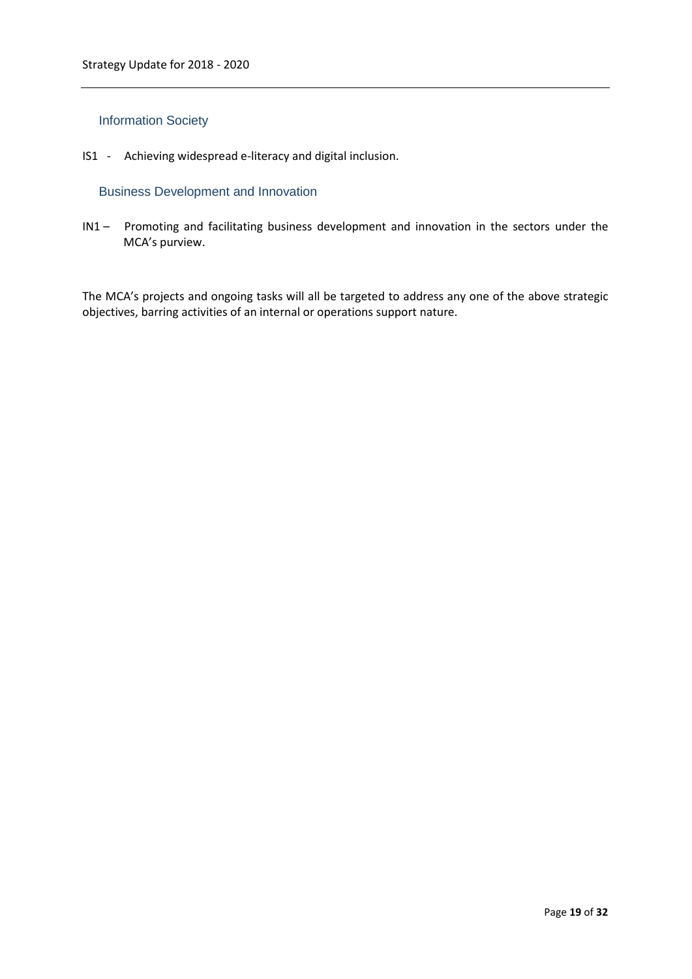# Information Society

IS1 - Achieving widespread e-literacy and digital inclusion.

# Business Development and Innovation

IN1 – Promoting and facilitating business development and innovation in the sectors under the MCA's purview.

The MCA's projects and ongoing tasks will all be targeted to address any one of the above strategic objectives, barring activities of an internal or operations support nature.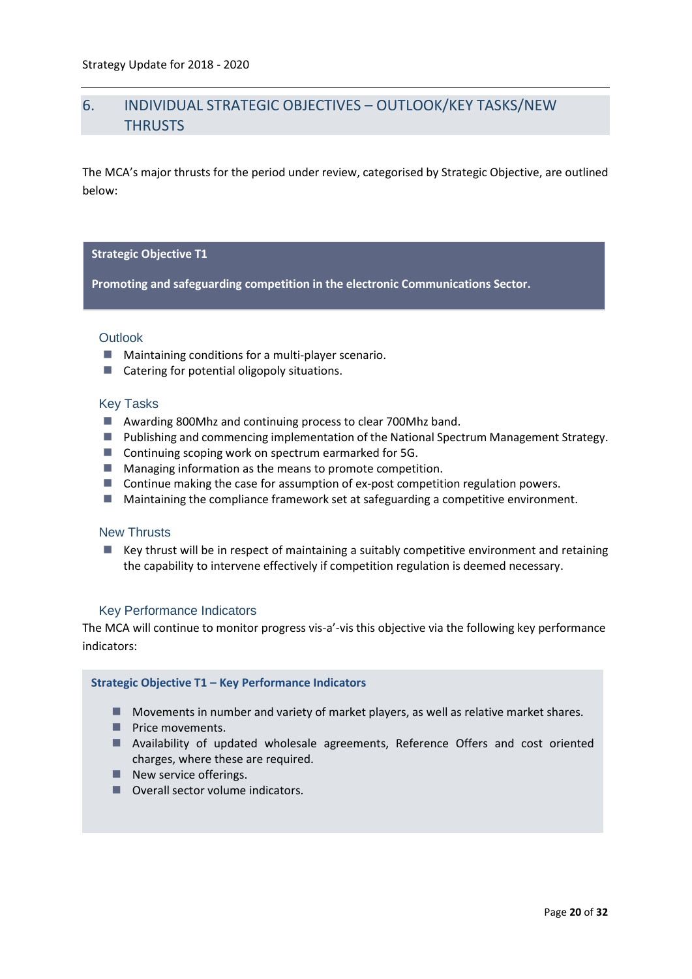# <span id="page-19-0"></span>6. INDIVIDUAL STRATEGIC OBJECTIVES – OUTLOOK/KEY TASKS/NEW **THRUSTS**

The MCA's major thrusts for the period under review, categorised by Strategic Objective, are outlined below:

#### **Strategic Objective T1**

**Promoting and safeguarding competition in the electronic Communications Sector.**

#### **Outlook**

- Maintaining conditions for a multi-player scenario.
- Catering for potential oligopoly situations.

#### Key Tasks

- Awarding 800Mhz and continuing process to clear 700Mhz band.
- **Publishing and commencing implementation of the National Spectrum Management Strategy.**
- Continuing scoping work on spectrum earmarked for 5G.
- **Managing information as the means to promote competition.**
- **Continue making the case for assumption of ex-post competition regulation powers.**
- Maintaining the compliance framework set at safeguarding a competitive environment.

#### New Thrusts

 $\blacksquare$  Key thrust will be in respect of maintaining a suitably competitive environment and retaining the capability to intervene effectively if competition regulation is deemed necessary.

# Key Performance Indicators

The MCA will continue to monitor progress vis-a'-vis this objective via the following key performance indicators:

#### **Strategic Objective T1 – Key Performance Indicators**

- **Movements in number and variety of market players, as well as relative market shares.**
- **Price movements.**
- **Availability of updated wholesale agreements, Reference Offers and cost oriented** charges, where these are required.
- $\blacksquare$  New service offerings.
- Overall sector volume indicators.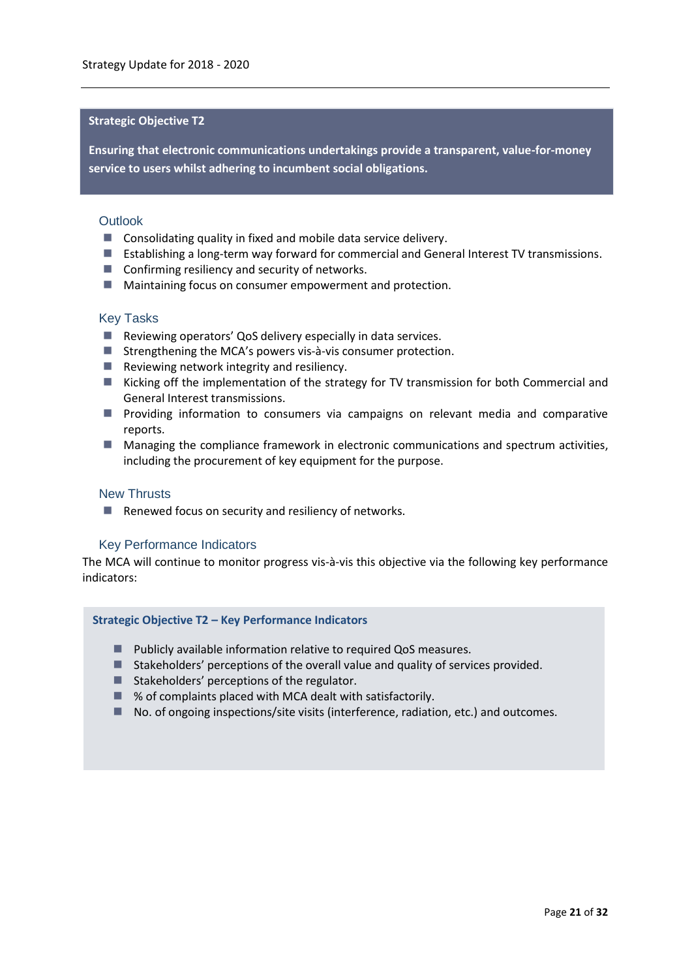# **Strategic Objective T2**

**Ensuring that electronic communications undertakings provide a transparent, value-for-money service to users whilst adhering to incumbent social obligations.**

#### **Outlook**

- Consolidating quality in fixed and mobile data service delivery.
- **Establishing a long-term way forward for commercial and General Interest TV transmissions.**
- Confirming resiliency and security of networks.
- **Maintaining focus on consumer empowerment and protection.**

#### Key Tasks

- Reviewing operators' QoS delivery especially in data services.
- $\blacksquare$  Strengthening the MCA's powers vis-à-vis consumer protection.
- $\blacksquare$  Reviewing network integrity and resiliency.
- **Kicking off the implementation of the strategy for TV transmission for both Commercial and** General Interest transmissions.
- **Peroviding information to consumers via campaigns on relevant media and comparative** reports.
- **Managing the compliance framework in electronic communications and spectrum activities,** including the procurement of key equipment for the purpose.

#### New Thrusts

■ Renewed focus on security and resiliency of networks.

# Key Performance Indicators

The MCA will continue to monitor progress vis-à-vis this objective via the following key performance indicators:

#### **Strategic Objective T2 – Key Performance Indicators**

- **Publicly available information relative to required QoS measures.**
- Stakeholders' perceptions of the overall value and quality of services provided.
- Stakeholders' perceptions of the regulator.
- % of complaints placed with MCA dealt with satisfactorily.
- No. of ongoing inspections/site visits (interference, radiation, etc.) and outcomes.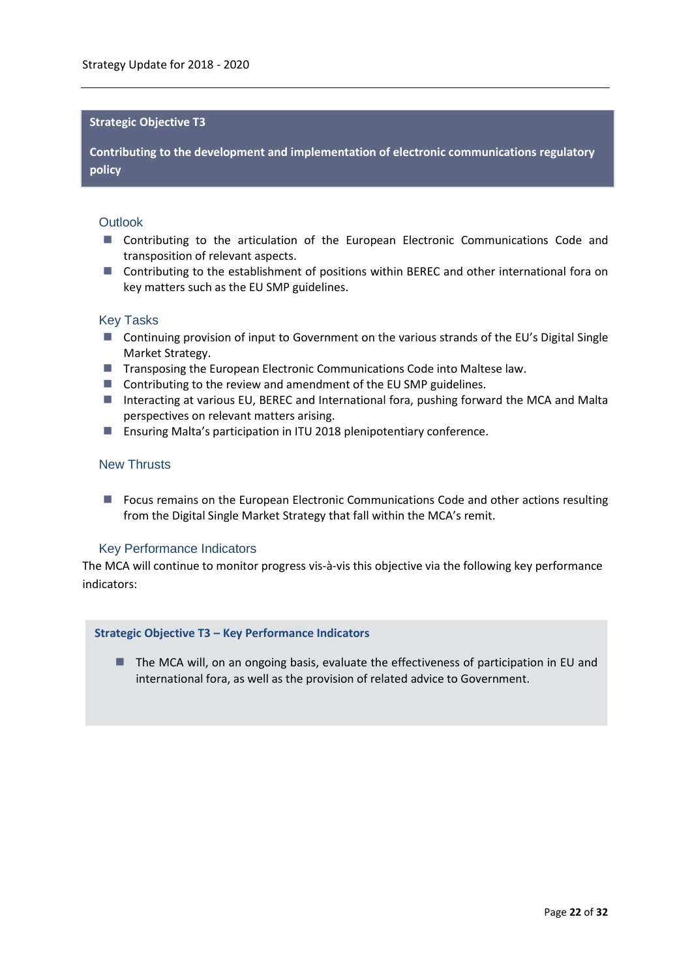#### **Strategic Objective T3**

**Contributing to the development and implementation of electronic communications regulatory policy**

#### **Outlook**

- Contributing to the articulation of the European Electronic Communications Code and transposition of relevant aspects.
- Contributing to the establishment of positions within BEREC and other international fora on key matters such as the EU SMP guidelines.

#### Key Tasks

- Continuing provision of input to Government on the various strands of the EU's Digital Single Market Strategy.
- Transposing the European Electronic Communications Code into Maltese law.
- Contributing to the review and amendment of the EU SMP guidelines.
- Interacting at various EU, BEREC and International fora, pushing forward the MCA and Malta perspectives on relevant matters arising.
- Ensuring Malta's participation in ITU 2018 plenipotentiary conference.

# New Thrusts

**Fig. 2** Focus remains on the European Electronic Communications Code and other actions resulting from the Digital Single Market Strategy that fall within the MCA's remit.

#### Key Performance Indicators

The MCA will continue to monitor progress vis-à-vis this objective via the following key performance indicators:

#### **Strategic Objective T3 – Key Performance Indicators**

■ The MCA will, on an ongoing basis, evaluate the effectiveness of participation in EU and international fora, as well as the provision of related advice to Government.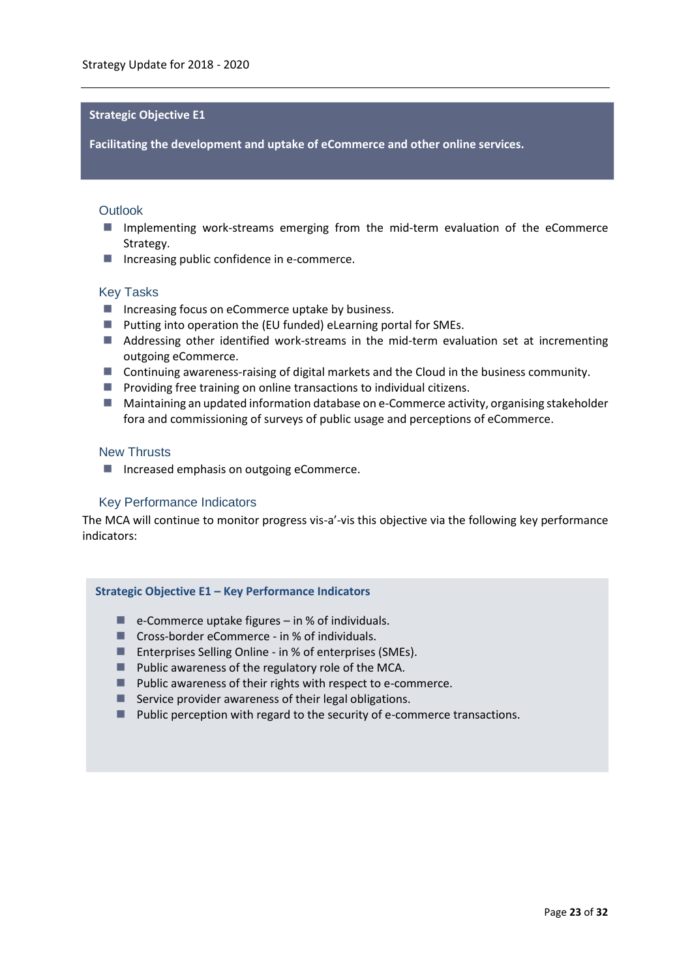#### **Strategic Objective E1**

**Facilitating the development and uptake of eCommerce and other online services.**

#### **Outlook**

- **Implementing work-streams emerging from the mid-term evaluation of the eCommerce** Strategy.
- Increasing public confidence in e-commerce.

#### Key Tasks

- $\blacksquare$  Increasing focus on eCommerce uptake by business.
- $\blacksquare$  Putting into operation the (EU funded) eLearning portal for SMEs.
- **Addressing other identified work-streams in the mid-term evaluation set at incrementing** outgoing eCommerce.
- Continuing awareness-raising of digital markets and the Cloud in the business community.
- **Providing free training on online transactions to individual citizens.**
- Maintaining an updated information database on e-Commerce activity, organising stakeholder fora and commissioning of surveys of public usage and perceptions of eCommerce.

#### New Thrusts

■ Increased emphasis on outgoing eCommerce.

# Key Performance Indicators

The MCA will continue to monitor progress vis-a'-vis this objective via the following key performance indicators:

#### **Strategic Objective E1 – Key Performance Indicators**

- $\blacksquare$  e-Commerce uptake figures in % of individuals.
- Cross-border eCommerce in % of individuals.
- Enterprises Selling Online in % of enterprises (SMEs).
- **Public awareness of the regulatory role of the MCA.**
- Public awareness of their rights with respect to e-commerce.
- Service provider awareness of their legal obligations.
- **Public perception with regard to the security of e-commerce transactions.**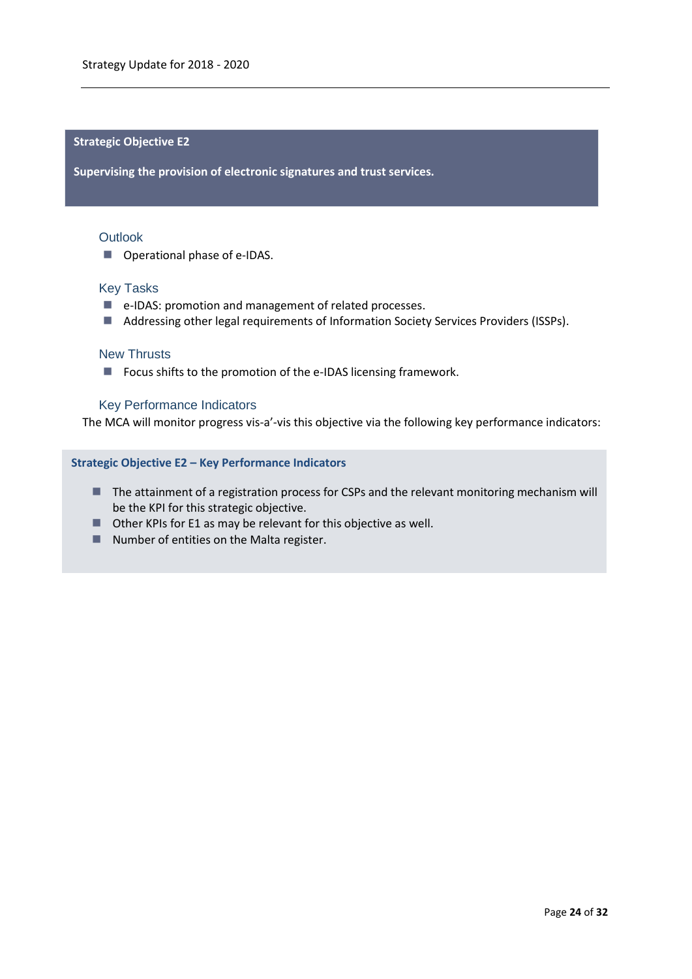#### **Strategic Objective E2**

**Supervising the provision of electronic signatures and trust services.**

#### **Outlook**

■ Operational phase of e-IDAS.

#### Key Tasks

- e-IDAS: promotion and management of related processes.
- Addressing other legal requirements of Information Society Services Providers (ISSPs).

# New Thrusts

**Focus shifts to the promotion of the e-IDAS licensing framework.** 

#### Key Performance Indicators

The MCA will monitor progress vis-a'-vis this objective via the following key performance indicators:

#### **Strategic Objective E2 – Key Performance Indicators**

- **The attainment of a registration process for CSPs and the relevant monitoring mechanism will** be the KPI for this strategic objective.
- Other KPIs for E1 as may be relevant for this objective as well.
- Number of entities on the Malta register.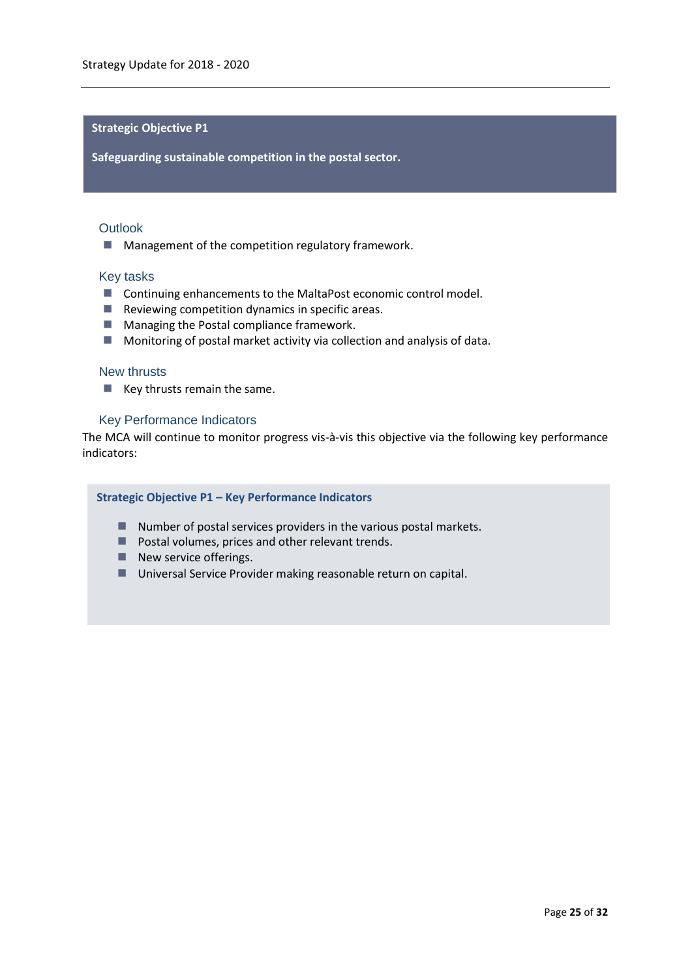#### **Strategic Objective P1**

**Safeguarding sustainable competition in the postal sector.**

#### **Outlook**

**Management of the competition regulatory framework.** 

#### Key tasks

- Continuing enhancements to the MaltaPost economic control model.
- $\blacksquare$  Reviewing competition dynamics in specific areas.
- **Managing the Postal compliance framework.**
- **Monitoring of postal market activity via collection and analysis of data.**

#### New thrusts

 $\blacksquare$  Key thrusts remain the same.

#### Key Performance Indicators

The MCA will continue to monitor progress vis-à-vis this objective via the following key performance indicators:

# **Strategic Objective P1 – Key Performance Indicators**

- $\blacksquare$  Number of postal services providers in the various postal markets.
- **Postal volumes, prices and other relevant trends.**
- New service offerings.
- Universal Service Provider making reasonable return on capital.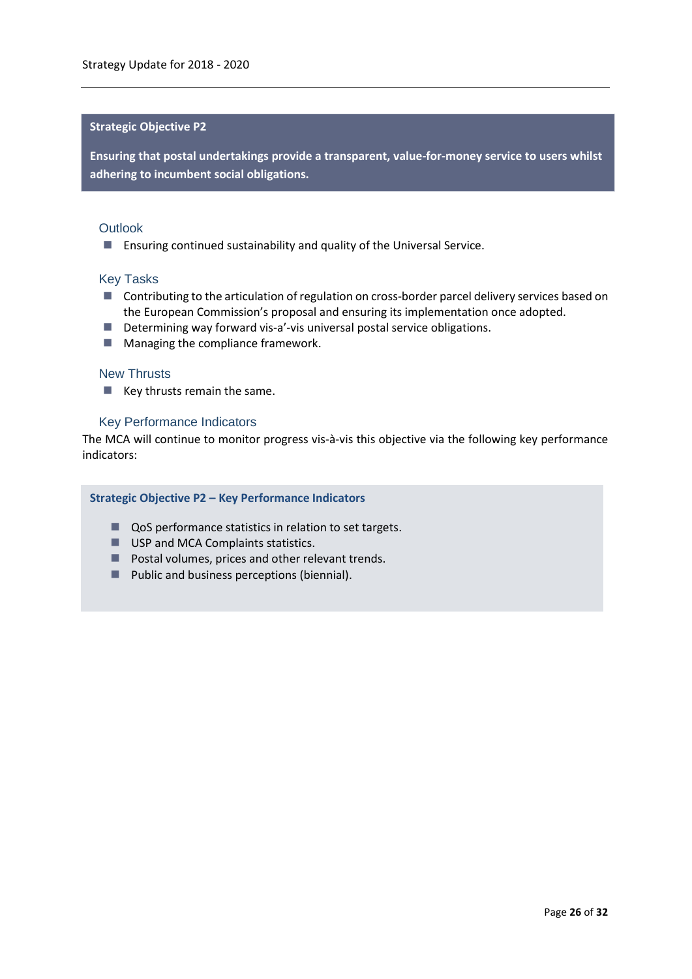#### **Strategic Objective P2**

**Ensuring that postal undertakings provide a transparent, value-for-money service to users whilst adhering to incumbent social obligations.**

#### **Outlook**

Ensuring continued sustainability and quality of the Universal Service.

#### Key Tasks

- **Contributing to the articulation of regulation on cross-border parcel delivery services based on** the European Commission's proposal and ensuring its implementation once adopted.
- Determining way forward vis-a'-vis universal postal service obligations.
- $\blacksquare$  Managing the compliance framework.

#### New Thrusts

 $\blacksquare$  Key thrusts remain the same.

#### Key Performance Indicators

The MCA will continue to monitor progress vis-à-vis this objective via the following key performance indicators:

#### **Strategic Objective P2 – Key Performance Indicators**

- QoS performance statistics in relation to set targets.
- USP and MCA Complaints statistics.
- **Postal volumes, prices and other relevant trends.**
- $\blacksquare$  Public and business perceptions (biennial).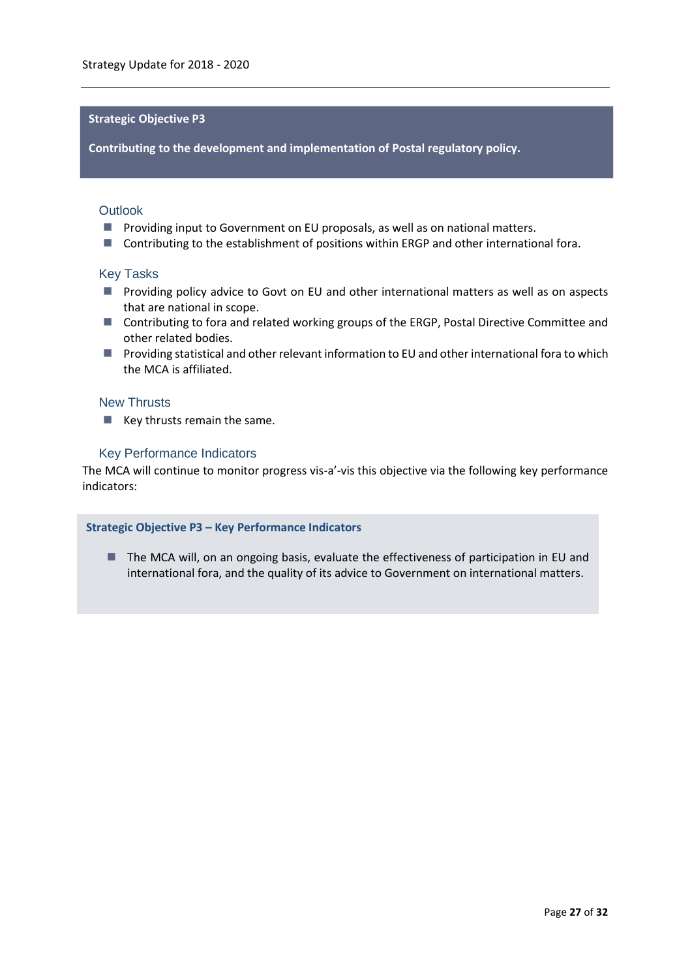# **Strategic Objective P3**

**Contributing to the development and implementation of Postal regulatory policy.**

# **Outlook**

- **Providing input to Government on EU proposals, as well as on national matters.**
- Contributing to the establishment of positions within ERGP and other international fora.

#### Key Tasks

- **Providing policy advice to Govt on EU and other international matters as well as on aspects** that are national in scope.
- Contributing to fora and related working groups of the ERGP, Postal Directive Committee and other related bodies.
- **Providing statistical and other relevant information to EU and other international fora to which** the MCA is affiliated.

# New Thrusts

 $\blacksquare$  Key thrusts remain the same.

# Key Performance Indicators

The MCA will continue to monitor progress vis-a'-vis this objective via the following key performance indicators:

#### **Strategic Objective P3 – Key Performance Indicators**

■ The MCA will, on an ongoing basis, evaluate the effectiveness of participation in EU and international fora, and the quality of its advice to Government on international matters.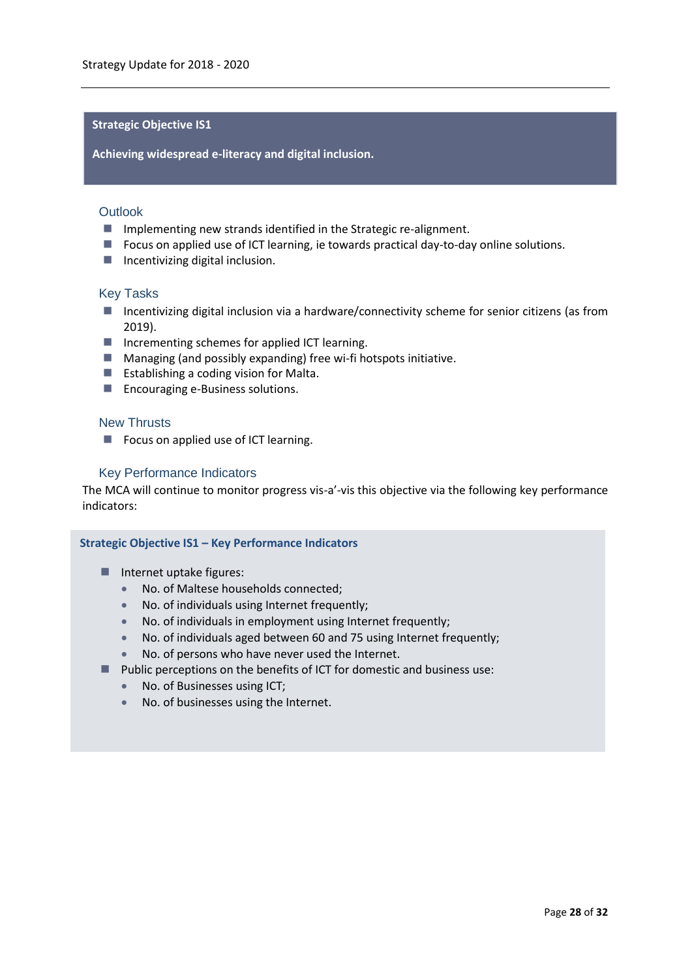# **Strategic Objective IS1**

**Achieving widespread e-literacy and digital inclusion.**

#### **Outlook**

- **I** Implementing new strands identified in the Strategic re-alignment.
- **Fig. 2** Focus on applied use of ICT learning, ie towards practical day-to-day online solutions.
- $\blacksquare$  Incentivizing digital inclusion.

#### Key Tasks

- Incentivizing digital inclusion via a hardware/connectivity scheme for senior citizens (as from 2019).
- Incrementing schemes for applied ICT learning.
- Managing (and possibly expanding) free wi-fi hotspots initiative.
- **Establishing a coding vision for Malta.**
- **Encouraging e-Business solutions.**

#### New Thrusts

Focus on applied use of ICT learning.

#### Key Performance Indicators

The MCA will continue to monitor progress vis-a'-vis this objective via the following key performance indicators:

#### **Strategic Objective IS1 – Key Performance Indicators**

- $\blacksquare$  Internet uptake figures:
	- No. of Maltese households connected;
	- No. of martese households connected,<br>• No. of individuals using Internet frequently;
	- No. of individuals in employment using Internet frequently;
	- No. of individuals aged between 60 and 75 using Internet frequently;
	- No. of persons who have never used the Internet.
- **Public perceptions on the benefits of ICT for domestic and business use:** 
	- No. of Businesses using ICT;
	- No. of businesses using the Internet.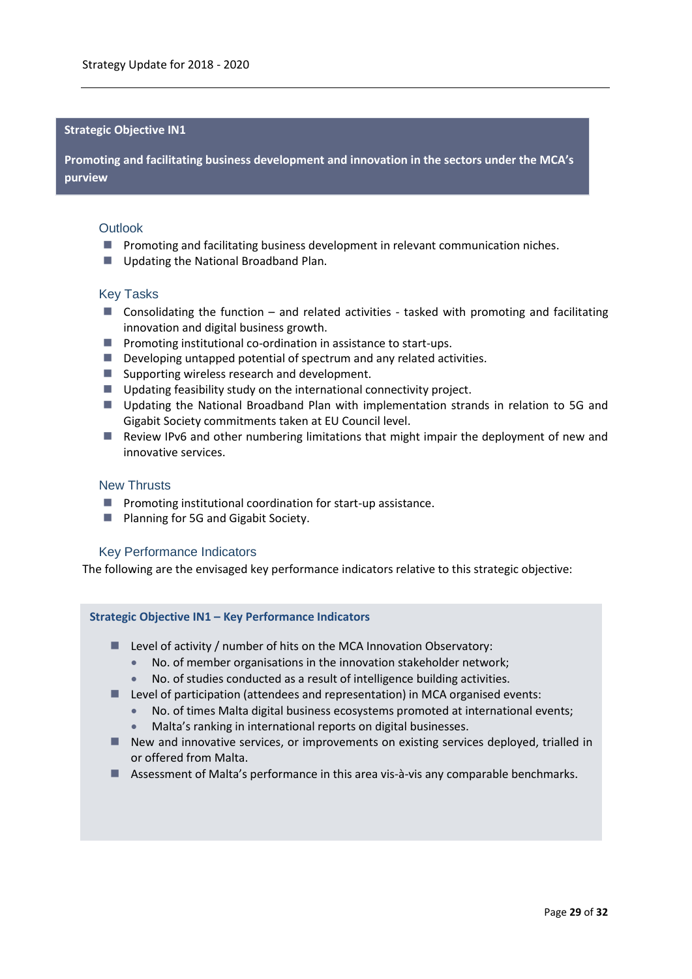#### **Strategic Objective IN1**

**Promoting and facilitating business development and innovation in the sectors under the MCA's purview**

#### **Outlook**

- **Promoting and facilitating business development in relevant communication niches.**
- Updating the National Broadband Plan.

#### Key Tasks

- Consolidating the function and related activities tasked with promoting and facilitating innovation and digital business growth.
- $\blacksquare$  Promoting institutional co-ordination in assistance to start-ups.
- Developing untapped potential of spectrum and any related activities.
- Supporting wireless research and development.
- Updating feasibility study on the international connectivity project.
- **Updating the National Broadband Plan with implementation strands in relation to 5G and** Gigabit Society commitments taken at EU Council level.
- Review IPv6 and other numbering limitations that might impair the deployment of new and innovative services.

## New Thrusts

- $\blacksquare$  Promoting institutional coordination for start-up assistance.
- **Planning for 5G and Gigabit Society.**

#### Key Performance Indicators

The following are the envisaged key performance indicators relative to this strategic objective:

#### **Strategic Objective IN1 – Key Performance Indicators**

- Level of activity / number of hits on the MCA Innovation Observatory:
	- No. of member organisations in the innovation stakeholder network;
	- No. of studies conducted as a result of intelligence building activities.
- Level of participation (attendees and representation) in MCA organised events:
	- No. of times Malta digital business ecosystems promoted at international events;
	- Malta's ranking in international reports on digital businesses.
- New and innovative services, or improvements on existing services deployed, trialled in or offered from Malta.
- Assessment of Malta's performance in this area vis-à-vis any comparable benchmarks.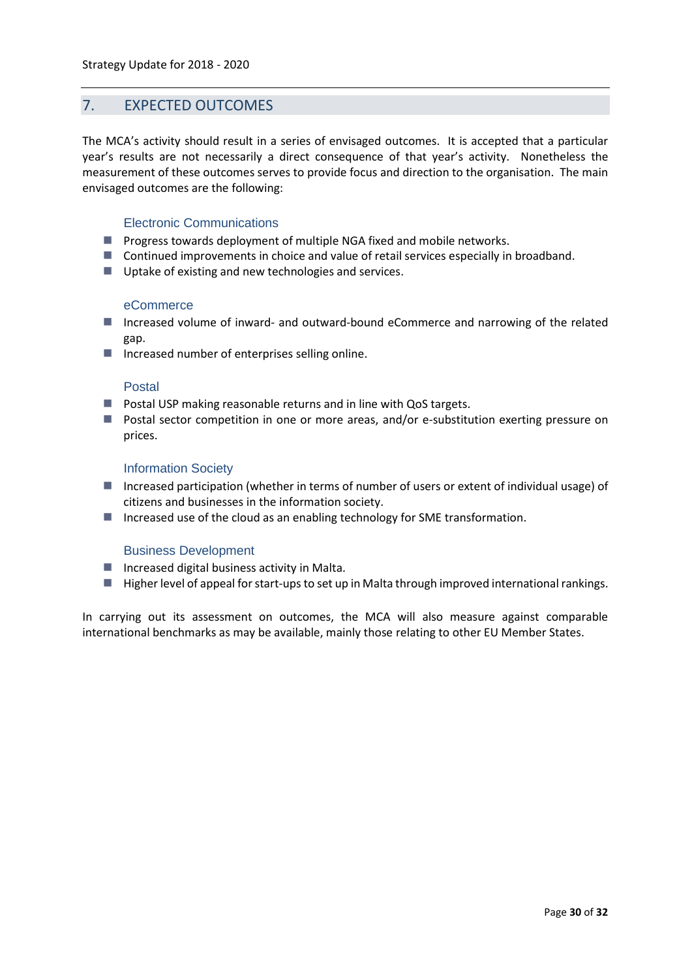# <span id="page-29-0"></span>7. EXPECTED OUTCOMES

The MCA's activity should result in a series of envisaged outcomes. It is accepted that a particular year's results are not necessarily a direct consequence of that year's activity. Nonetheless the measurement of these outcomes serves to provide focus and direction to the organisation. The main envisaged outcomes are the following:

# Electronic Communications

- **Progress towards deployment of multiple NGA fixed and mobile networks.**
- **Continued improvements in choice and value of retail services especially in broadband.**
- Uptake of existing and new technologies and services.

#### eCommerce

- Increased volume of inward- and outward-bound eCommerce and narrowing of the related gap.
- $\blacksquare$  Increased number of enterprises selling online.

# Postal

- $\blacksquare$  Postal USP making reasonable returns and in line with QoS targets.
- Postal sector competition in one or more areas, and/or e-substitution exerting pressure on prices.

#### Information Society

- Increased participation (whether in terms of number of users or extent of individual usage) of citizens and businesses in the information society.
- Increased use of the cloud as an enabling technology for SME transformation.

# Business Development

- $\blacksquare$  Increased digital business activity in Malta.
- Higher level of appeal for start-ups to set up in Malta through improved international rankings.

In carrying out its assessment on outcomes, the MCA will also measure against comparable international benchmarks as may be available, mainly those relating to other EU Member States.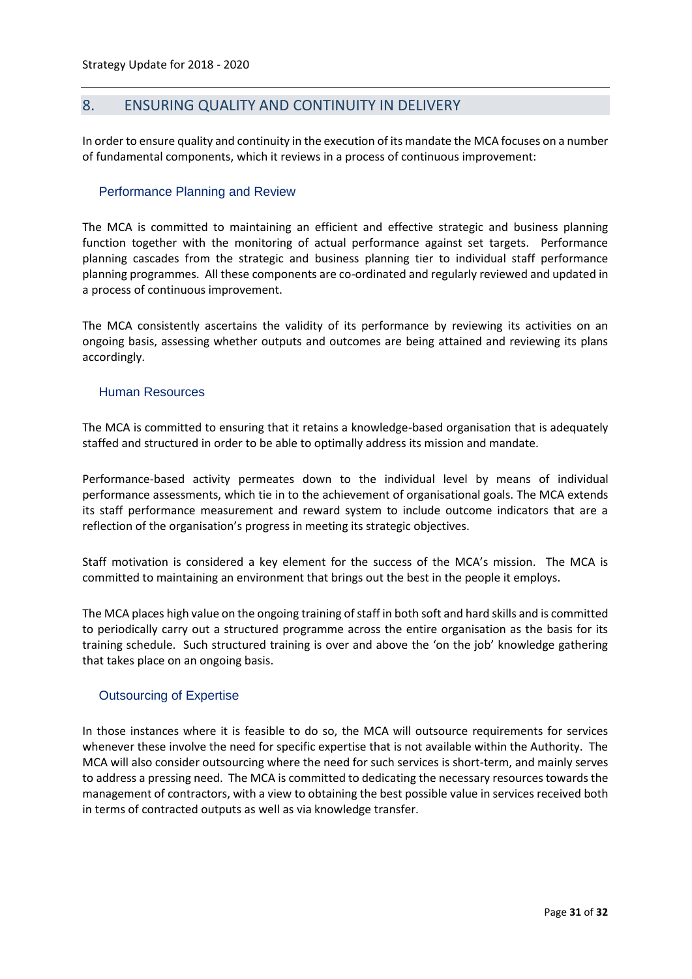# <span id="page-30-0"></span>8. ENSURING QUALITY AND CONTINUITY IN DELIVERY

In order to ensure quality and continuity in the execution of its mandate the MCA focuses on a number of fundamental components, which it reviews in a process of continuous improvement:

#### Performance Planning and Review

The MCA is committed to maintaining an efficient and effective strategic and business planning function together with the monitoring of actual performance against set targets. Performance planning cascades from the strategic and business planning tier to individual staff performance planning programmes. All these components are co-ordinated and regularly reviewed and updated in a process of continuous improvement.

The MCA consistently ascertains the validity of its performance by reviewing its activities on an ongoing basis, assessing whether outputs and outcomes are being attained and reviewing its plans accordingly.

#### Human Resources

The MCA is committed to ensuring that it retains a knowledge-based organisation that is adequately staffed and structured in order to be able to optimally address its mission and mandate.

Performance-based activity permeates down to the individual level by means of individual performance assessments, which tie in to the achievement of organisational goals. The MCA extends its staff performance measurement and reward system to include outcome indicators that are a reflection of the organisation's progress in meeting its strategic objectives.

Staff motivation is considered a key element for the success of the MCA's mission. The MCA is committed to maintaining an environment that brings out the best in the people it employs.

The MCA places high value on the ongoing training of staff in both soft and hard skills and is committed to periodically carry out a structured programme across the entire organisation as the basis for its training schedule. Such structured training is over and above the 'on the job' knowledge gathering that takes place on an ongoing basis.

# Outsourcing of Expertise

In those instances where it is feasible to do so, the MCA will outsource requirements for services whenever these involve the need for specific expertise that is not available within the Authority. The MCA will also consider outsourcing where the need for such services is short-term, and mainly serves to address a pressing need. The MCA is committed to dedicating the necessary resources towards the management of contractors, with a view to obtaining the best possible value in services received both in terms of contracted outputs as well as via knowledge transfer.